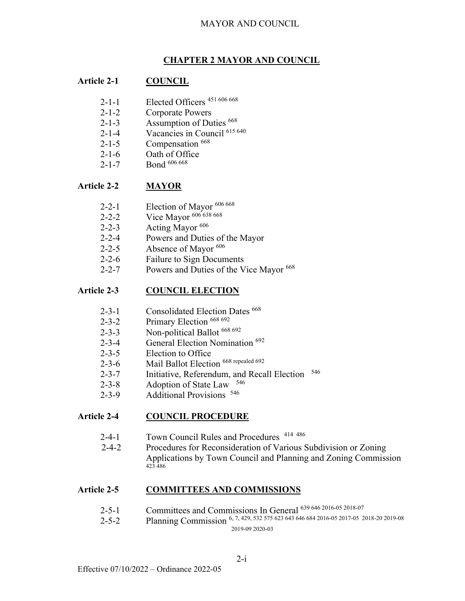#### **CHAPTER 2 MAYOR AND COUNCIL**

#### **Article 2-1 COUNCIL**

- 2-1-1 Elected Officers 451 606 668
- 2-1-2 Corporate Powers
- 2-1-3 Assumption of Duties 668
- 2-1-4 Vacancies in Council 615 640
- 2-1-5 Compensation <sup>668</sup>
- 2-1-6 Oath of Office
- 2-1-7 Bond 606 668

#### **Article 2-2 MAYOR**

- 2-2-1 Election of Mayor 606 668
- 2-2-2 Vice Mayor 606 638 668
- 2-2-3 Acting Mayor <sup>606</sup>
- 2-2-4 Powers and Duties of the Mayor
- 2-2-5 Absence of Mayor  $606$
- 2-2-6 Failure to Sign Documents
- 2-2-7 Powers and Duties of the Vice Mayor <sup>668</sup>

#### **Article 2-3 COUNCIL ELECTION**

- 2-3-1 Consolidated Election Dates <sup>668</sup>
- 2-3-2 Primary Election 668 692
- 2-3-3 Non-political Ballot 668 692
- 2-3-4 General Election Nomination <sup>692</sup>
- 2-3-5 Election to Office
- 2-3-6 Mail Ballot Election 668 repealed 692
- 2-3-7 Initiative, Referendum, and Recall Election <sup>546</sup>
- 2-3-8 Adoption of State Law <sup>546</sup>
- 2-3-9 Additional Provisions <sup>546</sup>

# **Article 2-4 COUNCIL PROCEDURE**

- 2-4-1 Town Council Rules and Procedures 414 486
- 2-4-2 Procedures for Reconsideration of Various Subdivision or Zoning Applications by Town Council and Planning and Zoning Commission 423 486

#### **Article 2-5 COMMITTEES AND COMMISSIONS**

- 2-5-1 Committees and Commissions In General 639 646 2016-05 2018-07
- 2-5-2 Planning Commission 6, 7, 429, 532 575 623 643 646 684 2016-05 2017-05 2018-20 2019-08 2019-09 2020-03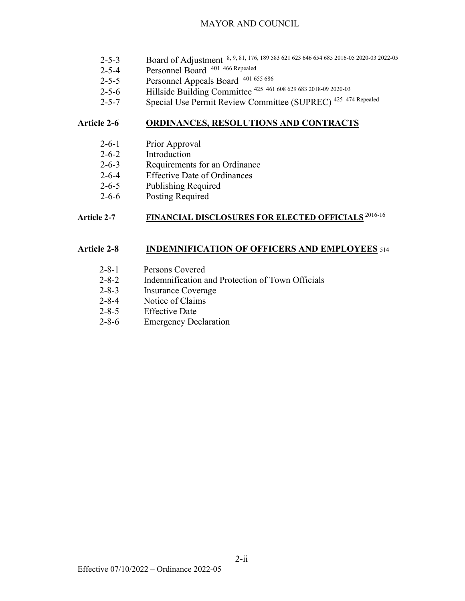- 2-5-3 Board of Adjustment 8, 9, 81, 176, 189 583 621 623 646 654 685 2016-05 2020-03 2022-05
- 2-5-4 Personnel Board 401 466 Repealed
- 2-5-5 Personnel Appeals Board 401 655 686
- 2-5-6 Hillside Building Committee <sup>425</sup> 461 608 629 683 2018-09 2020-03
- 2-5-7 Special Use Permit Review Committee (SUPREC) 425 474 Repealed

#### **Article 2-6 ORDINANCES, RESOLUTIONS AND CONTRACTS**

- 2-6-1 Prior Approval
- 2-6-2 Introduction
- 2-6-3 Requirements for an Ordinance
- 2-6-4 Effective Date of Ordinances
- 2-6-5 Publishing Required
- 2-6-6 Posting Required

# **Article 2-7 FINANCIAL DISCLOSURES FOR ELECTED OFFICIALS** 2016-16

#### **Article 2-8 INDEMNIFICATION OF OFFICERS AND EMPLOYEES** <sup>514</sup>

- 2-8-1 Persons Covered
- 2-8-2 Indemnification and Protection of Town Officials
- 2-8-3 Insurance Coverage
- 2-8-4 Notice of Claims
- 2-8-5 Effective Date
- 2-8-6 Emergency Declaration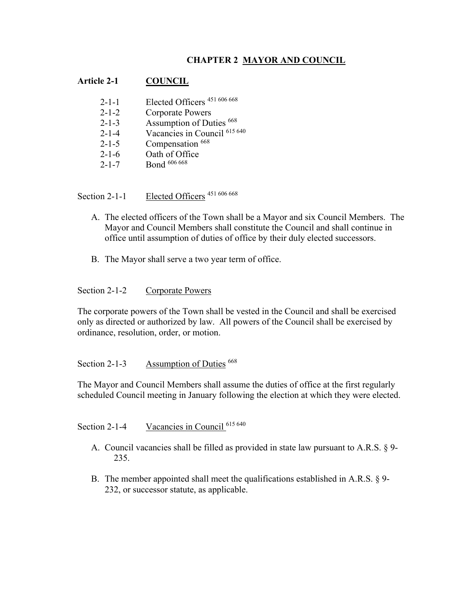# **CHAPTER 2 MAYOR AND COUNCIL**

#### **Article 2-1 COUNCIL**

| $2 - 1 - 1$ | Elected Officers <sup>451 606 668</sup> |
|-------------|-----------------------------------------|
| $2 - 1 - 2$ | Corporate Powers                        |
| $2 - 1 - 3$ | Assumption of Duties 668                |
| $2 - 1 - 4$ | Vacancies in Council 615 640            |
| $2 - 1 - 5$ | Compensation 668                        |
| $2 - 1 - 6$ | Oath of Office                          |
| $2 - 1 - 7$ | Bond 606 668                            |

Section 2-1-1 Elected Officers <sup>451 606 668</sup>

- A. The elected officers of the Town shall be a Mayor and six Council Members. The Mayor and Council Members shall constitute the Council and shall continue in office until assumption of duties of office by their duly elected successors.
- B. The Mayor shall serve a two year term of office.

#### Section 2-1-2 Corporate Powers

The corporate powers of the Town shall be vested in the Council and shall be exercised only as directed or authorized by law. All powers of the Council shall be exercised by ordinance, resolution, order, or motion.

#### Section 2-1-3 Assumption of Duties <sup>668</sup>

The Mayor and Council Members shall assume the duties of office at the first regularly scheduled Council meeting in January following the election at which they were elected.

Section 2-1-4 Vacancies in Council <sup>615 640</sup>

- A. Council vacancies shall be filled as provided in state law pursuant to A.R.S. § 9- 235.
- B. The member appointed shall meet the qualifications established in A.R.S. § 9- 232, or successor statute, as applicable.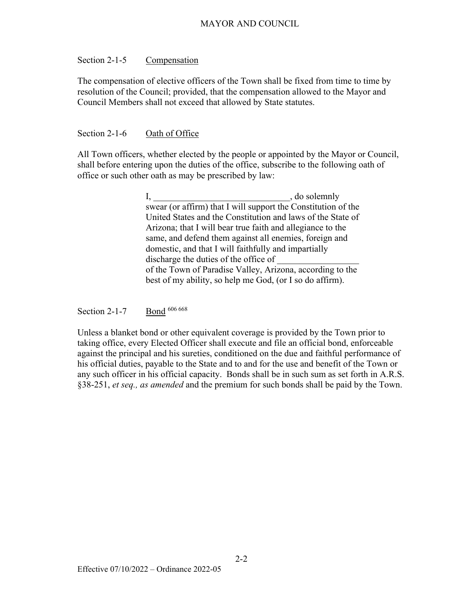#### Section 2-1-5 Compensation

The compensation of elective officers of the Town shall be fixed from time to time by resolution of the Council; provided, that the compensation allowed to the Mayor and Council Members shall not exceed that allowed by State statutes.

#### Section 2-1-6 Oath of Office

All Town officers, whether elected by the people or appointed by the Mayor or Council, shall before entering upon the duties of the office, subscribe to the following oath of office or such other oath as may be prescribed by law:

> I, do solemnly swear (or affirm) that I will support the Constitution of the United States and the Constitution and laws of the State of Arizona; that I will bear true faith and allegiance to the same, and defend them against all enemies, foreign and domestic, and that I will faithfully and impartially discharge the duties of the office of of the Town of Paradise Valley, Arizona, according to the best of my ability, so help me God, (or I so do affirm).

Section 2-1-7 Bond 606 668

Unless a blanket bond or other equivalent coverage is provided by the Town prior to taking office, every Elected Officer shall execute and file an official bond, enforceable against the principal and his sureties, conditioned on the due and faithful performance of his official duties, payable to the State and to and for the use and benefit of the Town or any such officer in his official capacity. Bonds shall be in such sum as set forth in A.R.S. §38-251, *et seq., as amended* and the premium for such bonds shall be paid by the Town.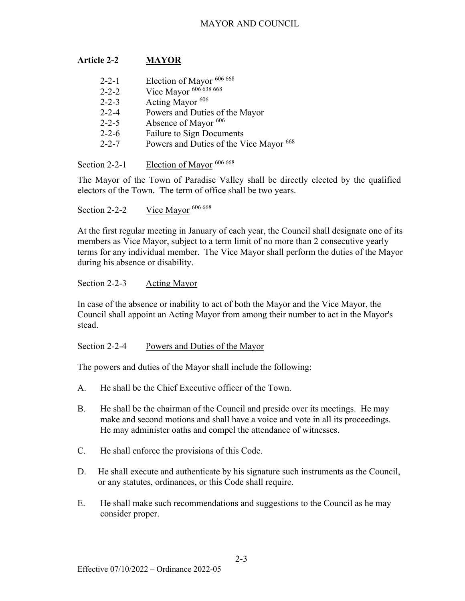# **Article 2-2 MAYOR**

| $2 - 2 - 1$ | Election of Mayor 606 668               |
|-------------|-----------------------------------------|
| $2 - 2 - 2$ | Vice Mayor 606 638 668                  |
| $2 - 2 - 3$ | Acting Mayor <sup>606</sup>             |
| $2 - 2 - 4$ | Powers and Duties of the Mayor          |
| $2 - 2 - 5$ | Absence of Mayor 606                    |
| $2 - 2 - 6$ | <b>Failure to Sign Documents</b>        |
| $2 - 2 - 7$ | Powers and Duties of the Vice Mayor 668 |
|             |                                         |
|             |                                         |

Section 2-2-1 Election of Mayor <sup>606 668</sup>

The Mayor of the Town of Paradise Valley shall be directly elected by the qualified electors of the Town. The term of office shall be two years.

Section 2-2-2 Vice Mayor 606 668

At the first regular meeting in January of each year, the Council shall designate one of its members as Vice Mayor, subject to a term limit of no more than 2 consecutive yearly terms for any individual member. The Vice Mayor shall perform the duties of the Mayor during his absence or disability.

Section 2-2-3 Acting Mayor

In case of the absence or inability to act of both the Mayor and the Vice Mayor, the Council shall appoint an Acting Mayor from among their number to act in the Mayor's stead.

Section 2-2-4 Powers and Duties of the Mayor

The powers and duties of the Mayor shall include the following:

- A. He shall be the Chief Executive officer of the Town.
- B. He shall be the chairman of the Council and preside over its meetings. He may make and second motions and shall have a voice and vote in all its proceedings. He may administer oaths and compel the attendance of witnesses.
- C. He shall enforce the provisions of this Code.
- D. He shall execute and authenticate by his signature such instruments as the Council, or any statutes, ordinances, or this Code shall require.
- E. He shall make such recommendations and suggestions to the Council as he may consider proper.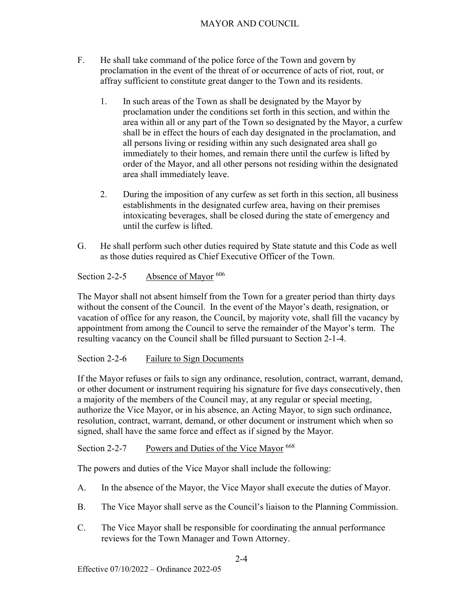- F. He shall take command of the police force of the Town and govern by proclamation in the event of the threat of or occurrence of acts of riot, rout, or affray sufficient to constitute great danger to the Town and its residents.
	- 1. In such areas of the Town as shall be designated by the Mayor by proclamation under the conditions set forth in this section, and within the area within all or any part of the Town so designated by the Mayor, a curfew shall be in effect the hours of each day designated in the proclamation, and all persons living or residing within any such designated area shall go immediately to their homes, and remain there until the curfew is lifted by order of the Mayor, and all other persons not residing within the designated area shall immediately leave.
	- 2. During the imposition of any curfew as set forth in this section, all business establishments in the designated curfew area, having on their premises intoxicating beverages, shall be closed during the state of emergency and until the curfew is lifted.
- G. He shall perform such other duties required by State statute and this Code as well as those duties required as Chief Executive Officer of the Town.

# Section 2-2-5 Absence of Mayor <sup>606</sup>

The Mayor shall not absent himself from the Town for a greater period than thirty days without the consent of the Council. In the event of the Mayor's death, resignation, or vacation of office for any reason, the Council, by majority vote, shall fill the vacancy by appointment from among the Council to serve the remainder of the Mayor's term. The resulting vacancy on the Council shall be filled pursuant to Section 2-1-4.

# Section 2-2-6 Failure to Sign Documents

If the Mayor refuses or fails to sign any ordinance, resolution, contract, warrant, demand, or other document or instrument requiring his signature for five days consecutively, then a majority of the members of the Council may, at any regular or special meeting, authorize the Vice Mayor, or in his absence, an Acting Mayor, to sign such ordinance, resolution, contract, warrant, demand, or other document or instrument which when so signed, shall have the same force and effect as if signed by the Mayor.

# Section 2-2-7 Powers and Duties of the Vice Mayor <sup>668</sup>

The powers and duties of the Vice Mayor shall include the following:

- A. In the absence of the Mayor, the Vice Mayor shall execute the duties of Mayor.
- B. The Vice Mayor shall serve as the Council's liaison to the Planning Commission.
- C. The Vice Mayor shall be responsible for coordinating the annual performance reviews for the Town Manager and Town Attorney.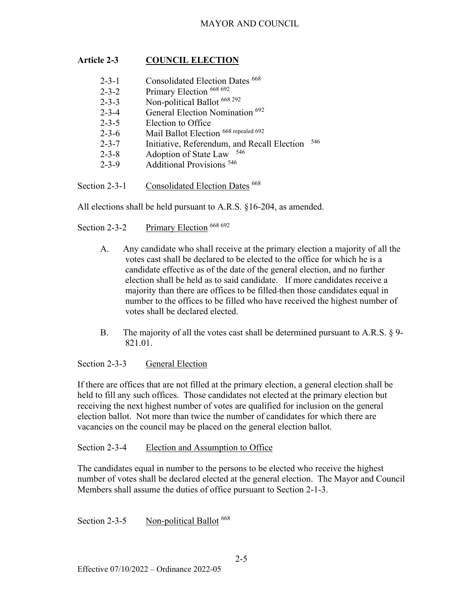# **Article 2-3 COUNCIL ELECTION**

| $2 - 3 - 1$<br>$2 - 3 - 2$ | Consolidated Election Dates 668<br>Primary Election 668 692 |     |
|----------------------------|-------------------------------------------------------------|-----|
| $2 - 3 - 3$                | Non-political Ballot 668 292                                |     |
| $2 - 3 - 4$                | General Election Nomination <sup>692</sup>                  |     |
| $2 - 3 - 5$                | Election to Office                                          |     |
| $2 - 3 - 6$                | Mail Ballot Election 668 repealed 692                       |     |
| $2 - 3 - 7$                | Initiative, Referendum, and Recall Election                 | 546 |
| $2 - 3 - 8$                | 546<br>Adoption of State Law                                |     |
| $2 - 3 - 9$                | <b>Additional Provisions</b> <sup>546</sup>                 |     |
|                            |                                                             |     |

Section 2-3-1 Consolidated Election Dates <sup>668</sup>

All elections shall be held pursuant to A.R.S. §16-204, as amended.

Section 2-3-2 Primary Election <sup>668 692</sup>

- A. Any candidate who shall receive at the primary election a majority of all the votes cast shall be declared to be elected to the office for which he is a candidate effective as of the date of the general election, and no further election shall be held as to said candidate. If more candidates receive a majority than there are offices to be filled then those candidates equal in number to the offices to be filled who have received the highest number of votes shall be declared elected.
- B. The majority of all the votes cast shall be determined pursuant to A.R.S. § 9- 821.01.

# Section 2-3-3 General Election

If there are offices that are not filled at the primary election, a general election shall be held to fill any such offices. Those candidates not elected at the primary election but receiving the next highest number of votes are qualified for inclusion on the general election ballot. Not more than twice the number of candidates for which there are vacancies on the council may be placed on the general election ballot.

#### Section 2-3-4 Election and Assumption to Office

The candidates equal in number to the persons to be elected who receive the highest number of votes shall be declared elected at the general election. The Mayor and Council Members shall assume the duties of office pursuant to Section 2-1-3.

Section 2-3-5 Non-political Ballot <sup>668</sup>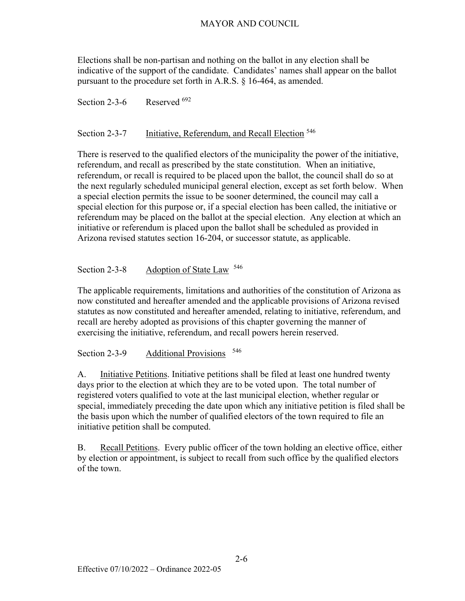Elections shall be non-partisan and nothing on the ballot in any election shall be indicative of the support of the candidate. Candidates' names shall appear on the ballot pursuant to the procedure set forth in A.R.S. § 16-464, as amended.

Section 2-3-6 Reserved  $692$ 

# Section 2-3-7 Initiative, Referendum, and Recall Election <sup>546</sup>

There is reserved to the qualified electors of the municipality the power of the initiative, referendum, and recall as prescribed by the state constitution. When an initiative, referendum, or recall is required to be placed upon the ballot, the council shall do so at the next regularly scheduled municipal general election, except as set forth below. When a special election permits the issue to be sooner determined, the council may call a special election for this purpose or, if a special election has been called, the initiative or referendum may be placed on the ballot at the special election. Any election at which an initiative or referendum is placed upon the ballot shall be scheduled as provided in Arizona revised statutes section 16-204, or successor statute, as applicable.

#### Section 2-3-8 Adoption of State Law <sup>546</sup>

The applicable requirements, limitations and authorities of the constitution of Arizona as now constituted and hereafter amended and the applicable provisions of Arizona revised statutes as now constituted and hereafter amended, relating to initiative, referendum, and recall are hereby adopted as provisions of this chapter governing the manner of exercising the initiative, referendum, and recall powers herein reserved.

Section 2-3-9 Additional Provisions <sup>546</sup>

A. Initiative Petitions. Initiative petitions shall be filed at least one hundred twenty days prior to the election at which they are to be voted upon. The total number of registered voters qualified to vote at the last municipal election, whether regular or special, immediately preceding the date upon which any initiative petition is filed shall be the basis upon which the number of qualified electors of the town required to file an initiative petition shall be computed.

B. Recall Petitions. Every public officer of the town holding an elective office, either by election or appointment, is subject to recall from such office by the qualified electors of the town.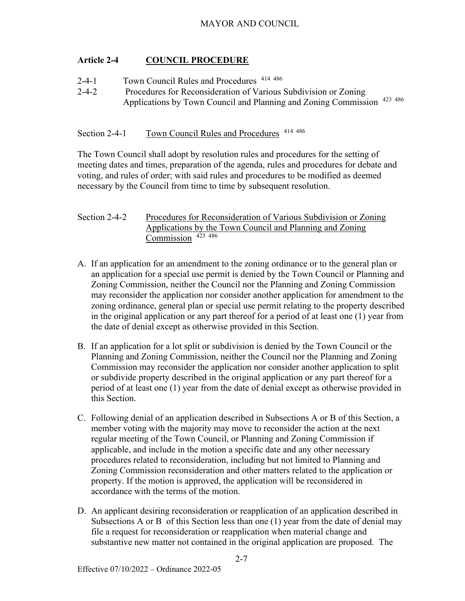# **Article 2-4 COUNCIL PROCEDURE**

- 2-4-1 Town Council Rules and Procedures 414 486
- 2-4-2 Procedures for Reconsideration of Various Subdivision or Zoning Applications by Town Council and Planning and Zoning Commission 423 486

Section 2-4-1 Town Council Rules and Procedures <sup>414 486</sup>

The Town Council shall adopt by resolution rules and procedures for the setting of meeting dates and times, preparation of the agenda, rules and procedures for debate and voting, and rules of order; with said rules and procedures to be modified as deemed necessary by the Council from time to time by subsequent resolution.

#### Section 2-4-2 Procedures for Reconsideration of Various Subdivision or Zoning Applications by the Town Council and Planning and Zoning Commission 423 486

- A. If an application for an amendment to the zoning ordinance or to the general plan or an application for a special use permit is denied by the Town Council or Planning and Zoning Commission, neither the Council nor the Planning and Zoning Commission may reconsider the application nor consider another application for amendment to the zoning ordinance, general plan or special use permit relating to the property described in the original application or any part thereof for a period of at least one (1) year from the date of denial except as otherwise provided in this Section.
- B. If an application for a lot split or subdivision is denied by the Town Council or the Planning and Zoning Commission, neither the Council nor the Planning and Zoning Commission may reconsider the application nor consider another application to split or subdivide property described in the original application or any part thereof for a period of at least one (1) year from the date of denial except as otherwise provided in this Section.
- C. Following denial of an application described in Subsections A or B of this Section, a member voting with the majority may move to reconsider the action at the next regular meeting of the Town Council, or Planning and Zoning Commission if applicable, and include in the motion a specific date and any other necessary procedures related to reconsideration, including but not limited to Planning and Zoning Commission reconsideration and other matters related to the application or property. If the motion is approved, the application will be reconsidered in accordance with the terms of the motion.
- D. An applicant desiring reconsideration or reapplication of an application described in Subsections A or B of this Section less than one (1) year from the date of denial may file a request for reconsideration or reapplication when material change and substantive new matter not contained in the original application are proposed. The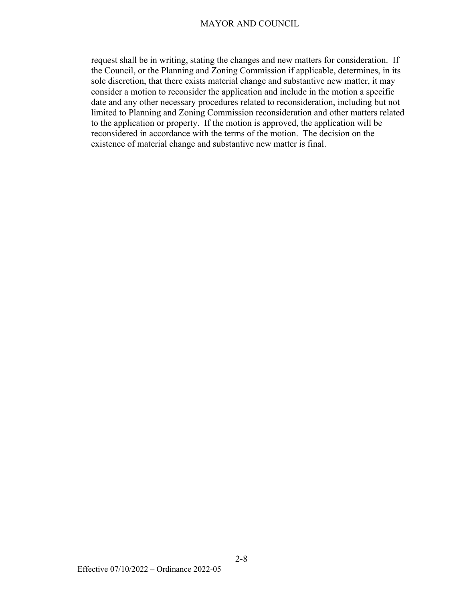request shall be in writing, stating the changes and new matters for consideration. If the Council, or the Planning and Zoning Commission if applicable, determines, in its sole discretion, that there exists material change and substantive new matter, it may consider a motion to reconsider the application and include in the motion a specific date and any other necessary procedures related to reconsideration, including but not limited to Planning and Zoning Commission reconsideration and other matters related to the application or property. If the motion is approved, the application will be reconsidered in accordance with the terms of the motion. The decision on the existence of material change and substantive new matter is final.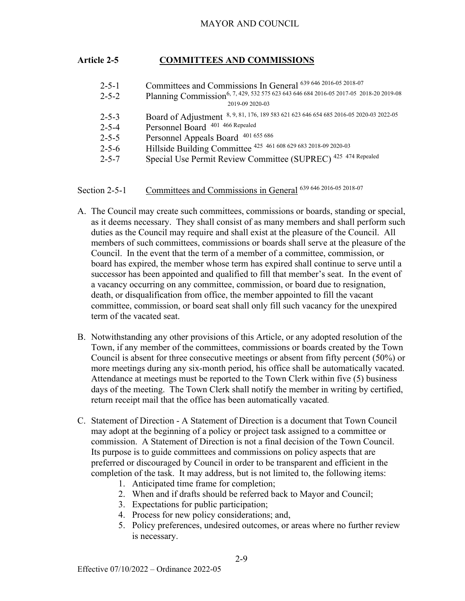# **Article 2-5 COMMITTEES AND COMMISSIONS**

| $2 - 5 - 1$ | Committees and Commissions In General 639 646 2016-05 2018-07                                     |
|-------------|---------------------------------------------------------------------------------------------------|
| $2 - 5 - 2$ | Planning Commission <sup>6, 7, 429, 532 575 623 643 646 684 2016-05 2017-05 2018-20 2019-08</sup> |
|             | 2019-09 2020-03                                                                                   |
| $2 - 5 - 3$ | Board of Adjustment 8, 9, 81, 176, 189 583 621 623 646 654 685 2016-05 2020-03 2022-05            |
| $2 - 5 - 4$ | Personnel Board 401 466 Repealed                                                                  |
| $2 - 5 - 5$ | Personnel Appeals Board 401 655 686                                                               |
| $2 - 5 - 6$ | Hillside Building Committee 425 461 608 629 683 2018-09 2020-03                                   |
| $2 - 5 - 7$ | Special Use Permit Review Committee (SUPREC) 425 474 Repealed                                     |
|             |                                                                                                   |

Section 2-5-1 Committees and Commissions in General 639 646 2016-05 2018-07

- A. The Council may create such committees, commissions or boards, standing or special, as it deems necessary. They shall consist of as many members and shall perform such duties as the Council may require and shall exist at the pleasure of the Council. All members of such committees, commissions or boards shall serve at the pleasure of the Council. In the event that the term of a member of a committee, commission, or board has expired, the member whose term has expired shall continue to serve until a successor has been appointed and qualified to fill that member's seat. In the event of a vacancy occurring on any committee, commission, or board due to resignation, death, or disqualification from office, the member appointed to fill the vacant committee, commission, or board seat shall only fill such vacancy for the unexpired term of the vacated seat.
- B. Notwithstanding any other provisions of this Article, or any adopted resolution of the Town, if any member of the committees, commissions or boards created by the Town Council is absent for three consecutive meetings or absent from fifty percent (50%) or more meetings during any six-month period, his office shall be automatically vacated. Attendance at meetings must be reported to the Town Clerk within five (5) business days of the meeting. The Town Clerk shall notify the member in writing by certified, return receipt mail that the office has been automatically vacated.
- C. Statement of Direction A Statement of Direction is a document that Town Council may adopt at the beginning of a policy or project task assigned to a committee or commission. A Statement of Direction is not a final decision of the Town Council. Its purpose is to guide committees and commissions on policy aspects that are preferred or discouraged by Council in order to be transparent and efficient in the completion of the task. It may address, but is not limited to, the following items:
	- 1. Anticipated time frame for completion;
	- 2. When and if drafts should be referred back to Mayor and Council;
	- 3. Expectations for public participation;
	- 4. Process for new policy considerations; and,
	- 5. Policy preferences, undesired outcomes, or areas where no further review is necessary.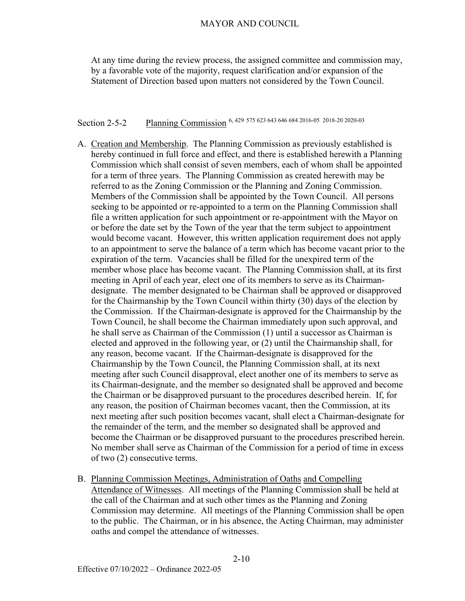At any time during the review process, the assigned committee and commission may, by a favorable vote of the majority, request clarification and/or expansion of the Statement of Direction based upon matters not considered by the Town Council.

# Section 2-5-2 Planning Commission 6, 429 575 623 643 646 684 2016-05 2018-20 2020-03

- A. Creation and Membership. The Planning Commission as previously established is hereby continued in full force and effect, and there is established herewith a Planning Commission which shall consist of seven members, each of whom shall be appointed for a term of three years. The Planning Commission as created herewith may be referred to as the Zoning Commission or the Planning and Zoning Commission. Members of the Commission shall be appointed by the Town Council. All persons seeking to be appointed or re-appointed to a term on the Planning Commission shall file a written application for such appointment or re-appointment with the Mayor on or before the date set by the Town of the year that the term subject to appointment would become vacant. However, this written application requirement does not apply to an appointment to serve the balance of a term which has become vacant prior to the expiration of the term. Vacancies shall be filled for the unexpired term of the member whose place has become vacant. The Planning Commission shall, at its first meeting in April of each year, elect one of its members to serve as its Chairmandesignate. The member designated to be Chairman shall be approved or disapproved for the Chairmanship by the Town Council within thirty (30) days of the election by the Commission. If the Chairman-designate is approved for the Chairmanship by the Town Council, he shall become the Chairman immediately upon such approval, and he shall serve as Chairman of the Commission (1) until a successor as Chairman is elected and approved in the following year, or (2) until the Chairmanship shall, for any reason, become vacant. If the Chairman-designate is disapproved for the Chairmanship by the Town Council, the Planning Commission shall, at its next meeting after such Council disapproval, elect another one of its members to serve as its Chairman-designate, and the member so designated shall be approved and become the Chairman or be disapproved pursuant to the procedures described herein. If, for any reason, the position of Chairman becomes vacant, then the Commission, at its next meeting after such position becomes vacant, shall elect a Chairman-designate for the remainder of the term, and the member so designated shall be approved and become the Chairman or be disapproved pursuant to the procedures prescribed herein. No member shall serve as Chairman of the Commission for a period of time in excess of two (2) consecutive terms.
- B. Planning Commission Meetings, Administration of Oaths and Compelling Attendance of Witnesses. All meetings of the Planning Commission shall be held at the call of the Chairman and at such other times as the Planning and Zoning Commission may determine. All meetings of the Planning Commission shall be open to the public. The Chairman, or in his absence, the Acting Chairman, may administer oaths and compel the attendance of witnesses.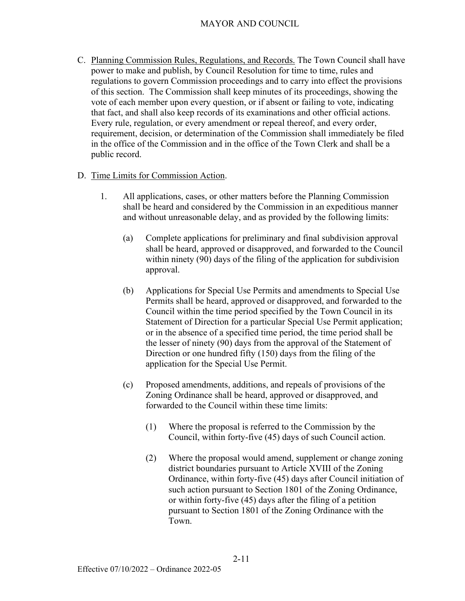- C. Planning Commission Rules, Regulations, and Records. The Town Council shall have power to make and publish, by Council Resolution for time to time, rules and regulations to govern Commission proceedings and to carry into effect the provisions of this section. The Commission shall keep minutes of its proceedings, showing the vote of each member upon every question, or if absent or failing to vote, indicating that fact, and shall also keep records of its examinations and other official actions. Every rule, regulation, or every amendment or repeal thereof, and every order, requirement, decision, or determination of the Commission shall immediately be filed in the office of the Commission and in the office of the Town Clerk and shall be a public record.
- D. Time Limits for Commission Action.
	- 1. All applications, cases, or other matters before the Planning Commission shall be heard and considered by the Commission in an expeditious manner and without unreasonable delay, and as provided by the following limits:
		- (a) Complete applications for preliminary and final subdivision approval shall be heard, approved or disapproved, and forwarded to the Council within ninety (90) days of the filing of the application for subdivision approval.
		- (b) Applications for Special Use Permits and amendments to Special Use Permits shall be heard, approved or disapproved, and forwarded to the Council within the time period specified by the Town Council in its Statement of Direction for a particular Special Use Permit application; or in the absence of a specified time period, the time period shall be the lesser of ninety (90) days from the approval of the Statement of Direction or one hundred fifty (150) days from the filing of the application for the Special Use Permit.
		- (c) Proposed amendments, additions, and repeals of provisions of the Zoning Ordinance shall be heard, approved or disapproved, and forwarded to the Council within these time limits:
			- (1) Where the proposal is referred to the Commission by the Council, within forty-five (45) days of such Council action.
			- (2) Where the proposal would amend, supplement or change zoning district boundaries pursuant to Article XVIII of the Zoning Ordinance, within forty-five (45) days after Council initiation of such action pursuant to Section 1801 of the Zoning Ordinance, or within forty-five (45) days after the filing of a petition pursuant to Section 1801 of the Zoning Ordinance with the Town.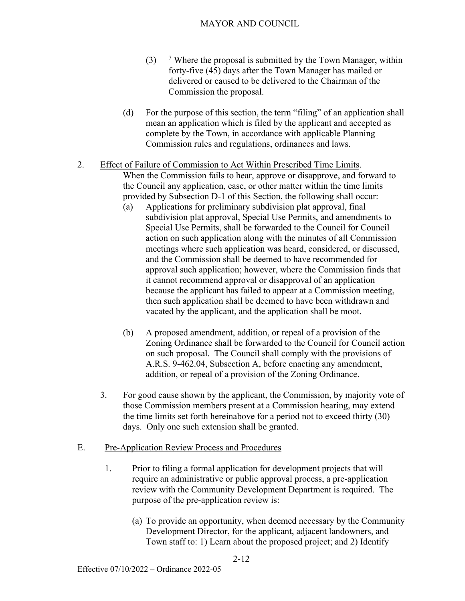- $(3)$  $\frac{7}{7}$  Where the proposal is submitted by the Town Manager, within forty-five (45) days after the Town Manager has mailed or delivered or caused to be delivered to the Chairman of the Commission the proposal.
- (d) For the purpose of this section, the term "filing" of an application shall mean an application which is filed by the applicant and accepted as complete by the Town, in accordance with applicable Planning Commission rules and regulations, ordinances and laws.
- 2. Effect of Failure of Commission to Act Within Prescribed Time Limits. When the Commission fails to hear, approve or disapprove, and forward to the Council any application, case, or other matter within the time limits provided by Subsection D-1 of this Section, the following shall occur:
	- (a) Applications for preliminary subdivision plat approval, final subdivision plat approval, Special Use Permits, and amendments to Special Use Permits, shall be forwarded to the Council for Council action on such application along with the minutes of all Commission meetings where such application was heard, considered, or discussed, and the Commission shall be deemed to have recommended for approval such application; however, where the Commission finds that it cannot recommend approval or disapproval of an application because the applicant has failed to appear at a Commission meeting, then such application shall be deemed to have been withdrawn and vacated by the applicant, and the application shall be moot.
	- (b) A proposed amendment, addition, or repeal of a provision of the Zoning Ordinance shall be forwarded to the Council for Council action on such proposal. The Council shall comply with the provisions of A.R.S. 9-462.04, Subsection A, before enacting any amendment, addition, or repeal of a provision of the Zoning Ordinance.
	- 3. For good cause shown by the applicant, the Commission, by majority vote of those Commission members present at a Commission hearing, may extend the time limits set forth hereinabove for a period not to exceed thirty (30) days. Only one such extension shall be granted.
- E. Pre-Application Review Process and Procedures
	- 1. Prior to filing a formal application for development projects that will require an administrative or public approval process, a pre-application review with the Community Development Department is required. The purpose of the pre-application review is:
		- (a) To provide an opportunity, when deemed necessary by the Community Development Director, for the applicant, adjacent landowners, and Town staff to: 1) Learn about the proposed project; and 2) Identify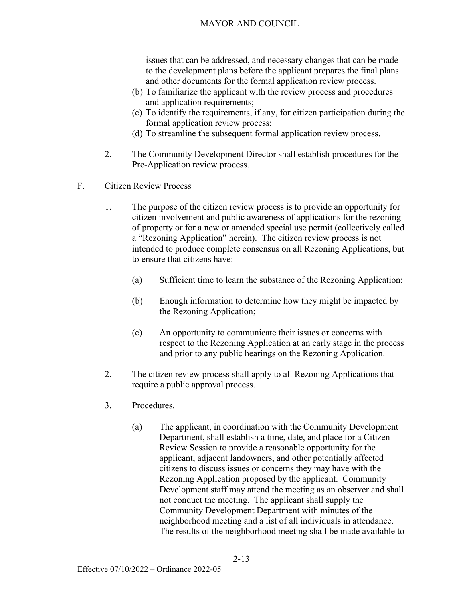issues that can be addressed, and necessary changes that can be made to the development plans before the applicant prepares the final plans and other documents for the formal application review process.

- (b) To familiarize the applicant with the review process and procedures and application requirements;
- (c) To identify the requirements, if any, for citizen participation during the formal application review process;
- (d) To streamline the subsequent formal application review process.
- 2. The Community Development Director shall establish procedures for the Pre-Application review process.
- F. Citizen Review Process
	- 1. The purpose of the citizen review process is to provide an opportunity for citizen involvement and public awareness of applications for the rezoning of property or for a new or amended special use permit (collectively called a "Rezoning Application" herein). The citizen review process is not intended to produce complete consensus on all Rezoning Applications, but to ensure that citizens have:
		- (a) Sufficient time to learn the substance of the Rezoning Application;
		- (b) Enough information to determine how they might be impacted by the Rezoning Application;
		- (c) An opportunity to communicate their issues or concerns with respect to the Rezoning Application at an early stage in the process and prior to any public hearings on the Rezoning Application.
	- 2. The citizen review process shall apply to all Rezoning Applications that require a public approval process.
	- 3. Procedures.
		- (a) The applicant, in coordination with the Community Development Department, shall establish a time, date, and place for a Citizen Review Session to provide a reasonable opportunity for the applicant, adjacent landowners, and other potentially affected citizens to discuss issues or concerns they may have with the Rezoning Application proposed by the applicant. Community Development staff may attend the meeting as an observer and shall not conduct the meeting. The applicant shall supply the Community Development Department with minutes of the neighborhood meeting and a list of all individuals in attendance. The results of the neighborhood meeting shall be made available to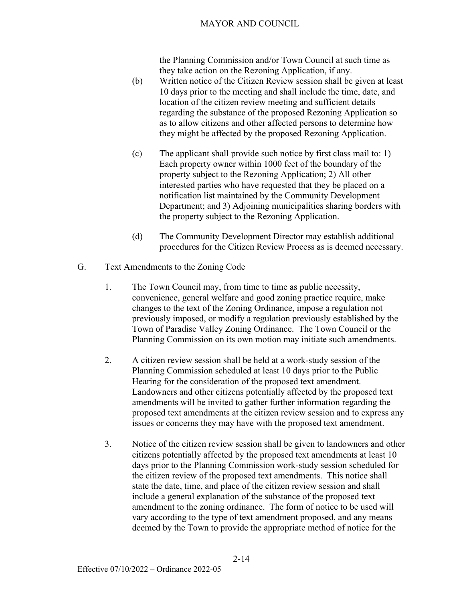the Planning Commission and/or Town Council at such time as they take action on the Rezoning Application, if any.

- (b) Written notice of the Citizen Review session shall be given at least 10 days prior to the meeting and shall include the time, date, and location of the citizen review meeting and sufficient details regarding the substance of the proposed Rezoning Application so as to allow citizens and other affected persons to determine how they might be affected by the proposed Rezoning Application.
- (c) The applicant shall provide such notice by first class mail to: 1) Each property owner within 1000 feet of the boundary of the property subject to the Rezoning Application; 2) All other interested parties who have requested that they be placed on a notification list maintained by the Community Development Department; and 3) Adjoining municipalities sharing borders with the property subject to the Rezoning Application.
- (d) The Community Development Director may establish additional procedures for the Citizen Review Process as is deemed necessary.

#### G. Text Amendments to the Zoning Code

- 1. The Town Council may, from time to time as public necessity, convenience, general welfare and good zoning practice require, make changes to the text of the Zoning Ordinance, impose a regulation not previously imposed, or modify a regulation previously established by the Town of Paradise Valley Zoning Ordinance. The Town Council or the Planning Commission on its own motion may initiate such amendments.
- 2. A citizen review session shall be held at a work-study session of the Planning Commission scheduled at least 10 days prior to the Public Hearing for the consideration of the proposed text amendment. Landowners and other citizens potentially affected by the proposed text amendments will be invited to gather further information regarding the proposed text amendments at the citizen review session and to express any issues or concerns they may have with the proposed text amendment.
- 3. Notice of the citizen review session shall be given to landowners and other citizens potentially affected by the proposed text amendments at least 10 days prior to the Planning Commission work-study session scheduled for the citizen review of the proposed text amendments. This notice shall state the date, time, and place of the citizen review session and shall include a general explanation of the substance of the proposed text amendment to the zoning ordinance. The form of notice to be used will vary according to the type of text amendment proposed, and any means deemed by the Town to provide the appropriate method of notice for the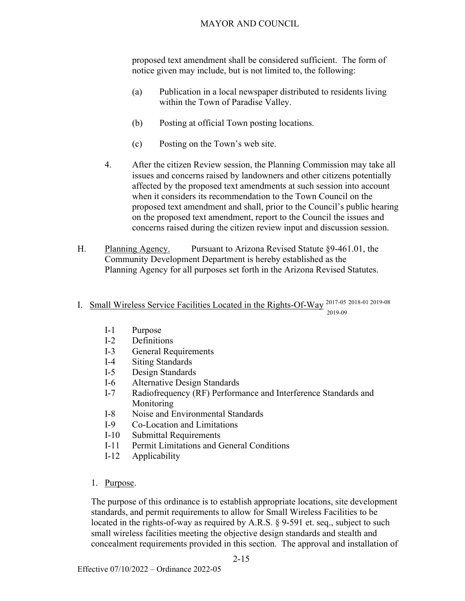proposed text amendment shall be considered sufficient. The form of notice given may include, but is not limited to, the following:

- (a) Publication in a local newspaper distributed to residents living within the Town of Paradise Valley.
- (b) Posting at official Town posting locations.
- (c) Posting on the Town's web site.
- 4. After the citizen Review session, the Planning Commission may take all issues and concerns raised by landowners and other citizens potentially affected by the proposed text amendments at such session into account when it considers its recommendation to the Town Council on the proposed text amendment and shall, prior to the Council's public hearing on the proposed text amendment, report to the Council the issues and concerns raised during the citizen review input and discussion session.
- H. Planning Agency. Pursuant to Arizona Revised Statute §9-461.01, the Community Development Department is hereby established as the Planning Agency for all purposes set forth in the Arizona Revised Statutes.
- I. Small Wireless Service Facilities Located in the Rights-Of-Way<sup>2017-05</sup> 2018-01 2019-08 2019-09
	- I-1 Purpose
	- I-2 Definitions
	- I-3 General Requirements
	- I-4 Siting Standards
	- I-5 Design Standards
	- I-6 Alternative Design Standards
	- I-7 Radiofrequency (RF) Performance and Interference Standards and Monitoring
	- I-8 Noise and Environmental Standards
	- I-9 Co-Location and Limitations
	- I-10 Submittal Requirements
	- I-11 Permit Limitations and General Conditions
	- I-12 Applicability
	- 1. Purpose.

The purpose of this ordinance is to establish appropriate locations, site development standards, and permit requirements to allow for Small Wireless Facilities to be located in the rights-of-way as required by A.R.S. § 9-591 et. seq., subject to such small wireless facilities meeting the objective design standards and stealth and concealment requirements provided in this section. The approval and installation of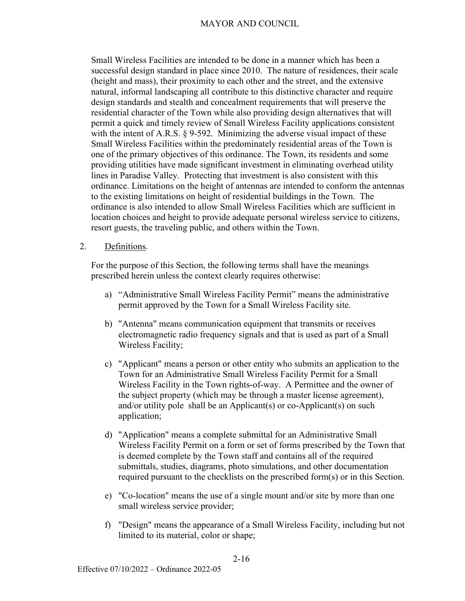Small Wireless Facilities are intended to be done in a manner which has been a successful design standard in place since 2010. The nature of residences, their scale (height and mass), their proximity to each other and the street, and the extensive natural, informal landscaping all contribute to this distinctive character and require design standards and stealth and concealment requirements that will preserve the residential character of the Town while also providing design alternatives that will permit a quick and timely review of Small Wireless Facility applications consistent with the intent of A.R.S. § 9-592. Minimizing the adverse visual impact of these Small Wireless Facilities within the predominately residential areas of the Town is one of the primary objectives of this ordinance. The Town, its residents and some providing utilities have made significant investment in eliminating overhead utility lines in Paradise Valley. Protecting that investment is also consistent with this ordinance. Limitations on the height of antennas are intended to conform the antennas to the existing limitations on height of residential buildings in the Town. The ordinance is also intended to allow Small Wireless Facilities which are sufficient in location choices and height to provide adequate personal wireless service to citizens, resort guests, the traveling public, and others within the Town.

#### 2. Definitions.

For the purpose of this Section, the following terms shall have the meanings prescribed herein unless the context clearly requires otherwise:

- a) "Administrative Small Wireless Facility Permit" means the administrative permit approved by the Town for a Small Wireless Facility site.
- b) "Antenna" means communication equipment that transmits or receives electromagnetic radio frequency signals and that is used as part of a Small Wireless Facility;
- c) "Applicant" means a person or other entity who submits an application to the Town for an Administrative Small Wireless Facility Permit for a Small Wireless Facility in the Town rights-of-way. A Permittee and the owner of the subject property (which may be through a master license agreement), and/or utility pole shall be an Applicant(s) or co-Applicant(s) on such application;
- d) "Application" means a complete submittal for an Administrative Small Wireless Facility Permit on a form or set of forms prescribed by the Town that is deemed complete by the Town staff and contains all of the required submittals, studies, diagrams, photo simulations, and other documentation required pursuant to the checklists on the prescribed form(s) or in this Section.
- e) "Co-location" means the use of a single mount and/or site by more than one small wireless service provider;
- f) "Design" means the appearance of a Small Wireless Facility, including but not limited to its material, color or shape;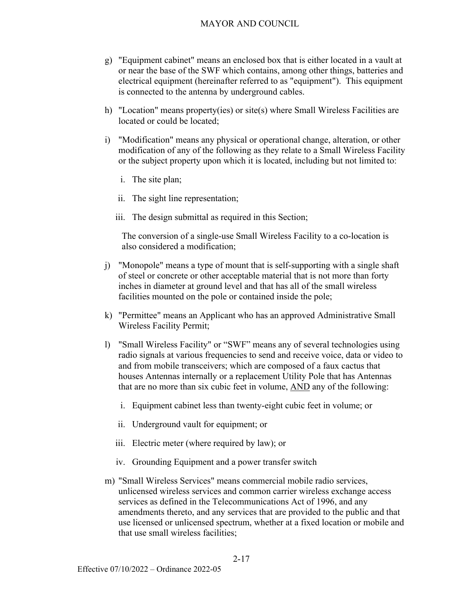- g) "Equipment cabinet" means an enclosed box that is either located in a vault at or near the base of the SWF which contains, among other things, batteries and electrical equipment (hereinafter referred to as "equipment"). This equipment is connected to the antenna by underground cables.
- h) "Location" means property(ies) or site(s) where Small Wireless Facilities are located or could be located;
- i) "Modification" means any physical or operational change, alteration, or other modification of any of the following as they relate to a Small Wireless Facility or the subject property upon which it is located, including but not limited to:
	- i. The site plan;
	- ii. The sight line representation;
	- iii. The design submittal as required in this Section;

 The conversion of a single-use Small Wireless Facility to a co-location is also considered a modification;

- j) "Monopole" means a type of mount that is self-supporting with a single shaft of steel or concrete or other acceptable material that is not more than forty inches in diameter at ground level and that has all of the small wireless facilities mounted on the pole or contained inside the pole;
- k) "Permittee" means an Applicant who has an approved Administrative Small Wireless Facility Permit;
- l) "Small Wireless Facility" or "SWF" means any of several technologies using radio signals at various frequencies to send and receive voice, data or video to and from mobile transceivers; which are composed of a faux cactus that houses Antennas internally or a replacement Utility Pole that has Antennas that are no more than six cubic feet in volume, AND any of the following:
	- i. Equipment cabinet less than twenty-eight cubic feet in volume; or
	- ii. Underground vault for equipment; or
	- iii. Electric meter (where required by law); or
	- iv. Grounding Equipment and a power transfer switch
- m) "Small Wireless Services" means commercial mobile radio services, unlicensed wireless services and common carrier wireless exchange access services as defined in the Telecommunications Act of 1996, and any amendments thereto, and any services that are provided to the public and that use licensed or unlicensed spectrum, whether at a fixed location or mobile and that use small wireless facilities;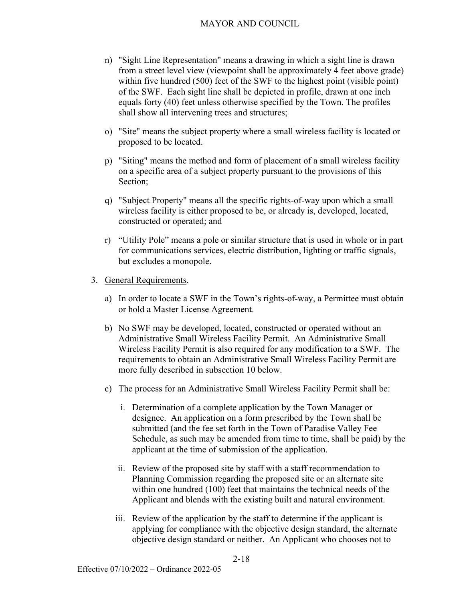- n) "Sight Line Representation" means a drawing in which a sight line is drawn from a street level view (viewpoint shall be approximately 4 feet above grade) within five hundred (500) feet of the SWF to the highest point (visible point) of the SWF. Each sight line shall be depicted in profile, drawn at one inch equals forty (40) feet unless otherwise specified by the Town. The profiles shall show all intervening trees and structures;
- o) "Site" means the subject property where a small wireless facility is located or proposed to be located.
- p) "Siting" means the method and form of placement of a small wireless facility on a specific area of a subject property pursuant to the provisions of this Section;
- q) "Subject Property" means all the specific rights-of-way upon which a small wireless facility is either proposed to be, or already is, developed, located, constructed or operated; and
- r) "Utility Pole" means a pole or similar structure that is used in whole or in part for communications services, electric distribution, lighting or traffic signals, but excludes a monopole.
- 3. General Requirements.
	- a) In order to locate a SWF in the Town's rights-of-way, a Permittee must obtain or hold a Master License Agreement.
	- b) No SWF may be developed, located, constructed or operated without an Administrative Small Wireless Facility Permit. An Administrative Small Wireless Facility Permit is also required for any modification to a SWF. The requirements to obtain an Administrative Small Wireless Facility Permit are more fully described in subsection 10 below.
	- c) The process for an Administrative Small Wireless Facility Permit shall be:
		- i. Determination of a complete application by the Town Manager or designee. An application on a form prescribed by the Town shall be submitted (and the fee set forth in the Town of Paradise Valley Fee Schedule, as such may be amended from time to time, shall be paid) by the applicant at the time of submission of the application.
		- ii. Review of the proposed site by staff with a staff recommendation to Planning Commission regarding the proposed site or an alternate site within one hundred (100) feet that maintains the technical needs of the Applicant and blends with the existing built and natural environment.
		- iii. Review of the application by the staff to determine if the applicant is applying for compliance with the objective design standard, the alternate objective design standard or neither. An Applicant who chooses not to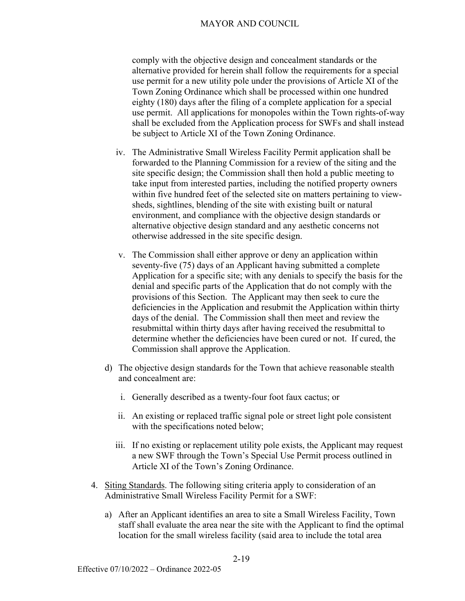comply with the objective design and concealment standards or the alternative provided for herein shall follow the requirements for a special use permit for a new utility pole under the provisions of Article XI of the Town Zoning Ordinance which shall be processed within one hundred eighty (180) days after the filing of a complete application for a special use permit. All applications for monopoles within the Town rights-of-way shall be excluded from the Application process for SWFs and shall instead be subject to Article XI of the Town Zoning Ordinance.

- iv. The Administrative Small Wireless Facility Permit application shall be forwarded to the Planning Commission for a review of the siting and the site specific design; the Commission shall then hold a public meeting to take input from interested parties, including the notified property owners within five hundred feet of the selected site on matters pertaining to viewsheds, sightlines, blending of the site with existing built or natural environment, and compliance with the objective design standards or alternative objective design standard and any aesthetic concerns not otherwise addressed in the site specific design.
- v. The Commission shall either approve or deny an application within seventy-five (75) days of an Applicant having submitted a complete Application for a specific site; with any denials to specify the basis for the denial and specific parts of the Application that do not comply with the provisions of this Section. The Applicant may then seek to cure the deficiencies in the Application and resubmit the Application within thirty days of the denial. The Commission shall then meet and review the resubmittal within thirty days after having received the resubmittal to determine whether the deficiencies have been cured or not. If cured, the Commission shall approve the Application.
- d) The objective design standards for the Town that achieve reasonable stealth and concealment are:
	- i. Generally described as a twenty-four foot faux cactus; or
	- ii. An existing or replaced traffic signal pole or street light pole consistent with the specifications noted below;
	- iii. If no existing or replacement utility pole exists, the Applicant may request a new SWF through the Town's Special Use Permit process outlined in Article XI of the Town's Zoning Ordinance.
- 4. Siting Standards. The following siting criteria apply to consideration of an Administrative Small Wireless Facility Permit for a SWF:
	- a) After an Applicant identifies an area to site a Small Wireless Facility, Town staff shall evaluate the area near the site with the Applicant to find the optimal location for the small wireless facility (said area to include the total area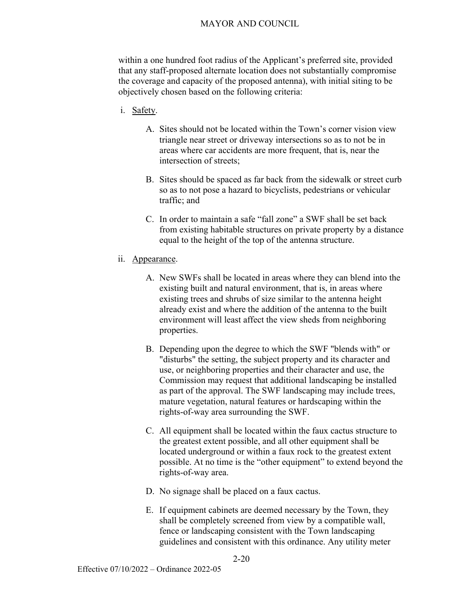within a one hundred foot radius of the Applicant's preferred site, provided that any staff-proposed alternate location does not substantially compromise the coverage and capacity of the proposed antenna), with initial siting to be objectively chosen based on the following criteria:

- i. Safety.
	- A. Sites should not be located within the Town's corner vision view triangle near street or driveway intersections so as to not be in areas where car accidents are more frequent, that is, near the intersection of streets;
	- B. Sites should be spaced as far back from the sidewalk or street curb so as to not pose a hazard to bicyclists, pedestrians or vehicular traffic; and
	- C. In order to maintain a safe "fall zone" a SWF shall be set back from existing habitable structures on private property by a distance equal to the height of the top of the antenna structure.
- ii. Appearance.
	- A. New SWFs shall be located in areas where they can blend into the existing built and natural environment, that is, in areas where existing trees and shrubs of size similar to the antenna height already exist and where the addition of the antenna to the built environment will least affect the view sheds from neighboring properties.
	- B. Depending upon the degree to which the SWF "blends with" or "disturbs" the setting, the subject property and its character and use, or neighboring properties and their character and use, the Commission may request that additional landscaping be installed as part of the approval. The SWF landscaping may include trees, mature vegetation, natural features or hardscaping within the rights-of-way area surrounding the SWF.
	- C. All equipment shall be located within the faux cactus structure to the greatest extent possible, and all other equipment shall be located underground or within a faux rock to the greatest extent possible. At no time is the "other equipment" to extend beyond the rights-of-way area.
	- D. No signage shall be placed on a faux cactus.
	- E. If equipment cabinets are deemed necessary by the Town, they shall be completely screened from view by a compatible wall, fence or landscaping consistent with the Town landscaping guidelines and consistent with this ordinance. Any utility meter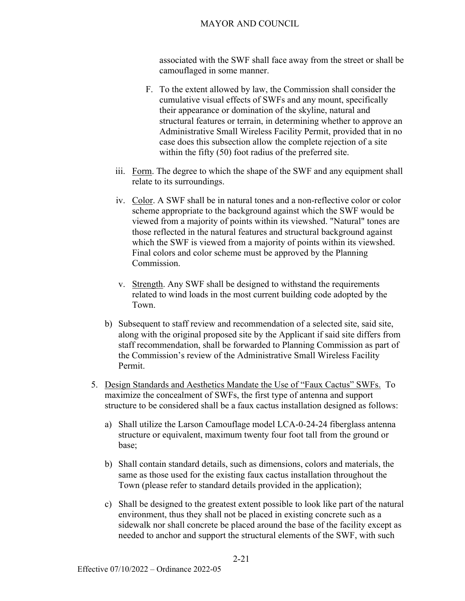associated with the SWF shall face away from the street or shall be camouflaged in some manner.

- F. To the extent allowed by law, the Commission shall consider the cumulative visual effects of SWFs and any mount, specifically their appearance or domination of the skyline, natural and structural features or terrain, in determining whether to approve an Administrative Small Wireless Facility Permit, provided that in no case does this subsection allow the complete rejection of a site within the fifty (50) foot radius of the preferred site.
- iii. Form. The degree to which the shape of the SWF and any equipment shall relate to its surroundings.
- iv. Color. A SWF shall be in natural tones and a non-reflective color or color scheme appropriate to the background against which the SWF would be viewed from a majority of points within its viewshed. "Natural" tones are those reflected in the natural features and structural background against which the SWF is viewed from a majority of points within its viewshed. Final colors and color scheme must be approved by the Planning Commission.
- v. Strength. Any SWF shall be designed to withstand the requirements related to wind loads in the most current building code adopted by the Town.
- b) Subsequent to staff review and recommendation of a selected site, said site, along with the original proposed site by the Applicant if said site differs from staff recommendation, shall be forwarded to Planning Commission as part of the Commission's review of the Administrative Small Wireless Facility Permit.
- 5. Design Standards and Aesthetics Mandate the Use of "Faux Cactus" SWFs. To maximize the concealment of SWFs, the first type of antenna and support structure to be considered shall be a faux cactus installation designed as follows:
	- a) Shall utilize the Larson Camouflage model LCA-0-24-24 fiberglass antenna structure or equivalent, maximum twenty four foot tall from the ground or base;
	- b) Shall contain standard details, such as dimensions, colors and materials, the same as those used for the existing faux cactus installation throughout the Town (please refer to standard details provided in the application);
	- c) Shall be designed to the greatest extent possible to look like part of the natural environment, thus they shall not be placed in existing concrete such as a sidewalk nor shall concrete be placed around the base of the facility except as needed to anchor and support the structural elements of the SWF, with such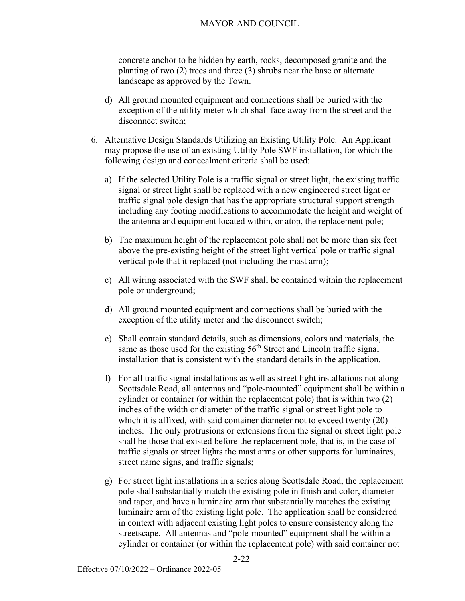concrete anchor to be hidden by earth, rocks, decomposed granite and the planting of two (2) trees and three (3) shrubs near the base or alternate landscape as approved by the Town.

- d) All ground mounted equipment and connections shall be buried with the exception of the utility meter which shall face away from the street and the disconnect switch;
- 6. Alternative Design Standards Utilizing an Existing Utility Pole. An Applicant may propose the use of an existing Utility Pole SWF installation, for which the following design and concealment criteria shall be used:
	- a) If the selected Utility Pole is a traffic signal or street light, the existing traffic signal or street light shall be replaced with a new engineered street light or traffic signal pole design that has the appropriate structural support strength including any footing modifications to accommodate the height and weight of the antenna and equipment located within, or atop, the replacement pole;
	- b) The maximum height of the replacement pole shall not be more than six feet above the pre-existing height of the street light vertical pole or traffic signal vertical pole that it replaced (not including the mast arm);
	- c) All wiring associated with the SWF shall be contained within the replacement pole or underground;
	- d) All ground mounted equipment and connections shall be buried with the exception of the utility meter and the disconnect switch;
	- e) Shall contain standard details, such as dimensions, colors and materials, the same as those used for the existing 56<sup>th</sup> Street and Lincoln traffic signal installation that is consistent with the standard details in the application.
	- f) For all traffic signal installations as well as street light installations not along Scottsdale Road, all antennas and "pole-mounted" equipment shall be within a cylinder or container (or within the replacement pole) that is within two (2) inches of the width or diameter of the traffic signal or street light pole to which it is affixed, with said container diameter not to exceed twenty (20) inches. The only protrusions or extensions from the signal or street light pole shall be those that existed before the replacement pole, that is, in the case of traffic signals or street lights the mast arms or other supports for luminaires, street name signs, and traffic signals;
	- g) For street light installations in a series along Scottsdale Road, the replacement pole shall substantially match the existing pole in finish and color, diameter and taper, and have a luminaire arm that substantially matches the existing luminaire arm of the existing light pole. The application shall be considered in context with adjacent existing light poles to ensure consistency along the streetscape. All antennas and "pole-mounted" equipment shall be within a cylinder or container (or within the replacement pole) with said container not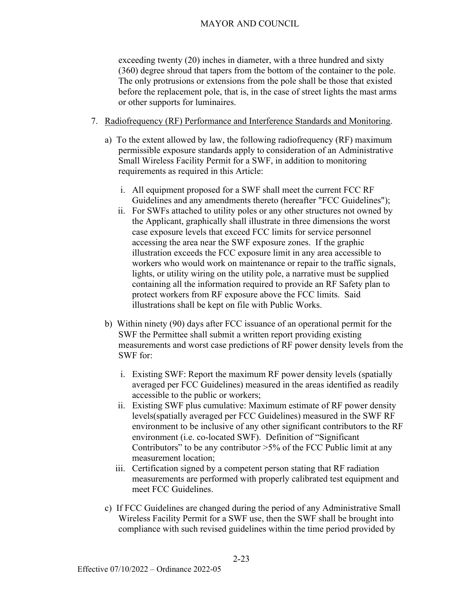exceeding twenty (20) inches in diameter, with a three hundred and sixty (360) degree shroud that tapers from the bottom of the container to the pole. The only protrusions or extensions from the pole shall be those that existed before the replacement pole, that is, in the case of street lights the mast arms or other supports for luminaires.

- 7. Radiofrequency (RF) Performance and Interference Standards and Monitoring.
	- a) To the extent allowed by law, the following radiofrequency (RF) maximum permissible exposure standards apply to consideration of an Administrative Small Wireless Facility Permit for a SWF, in addition to monitoring requirements as required in this Article:
		- i. All equipment proposed for a SWF shall meet the current FCC RF Guidelines and any amendments thereto (hereafter "FCC Guidelines");
		- ii. For SWFs attached to utility poles or any other structures not owned by the Applicant, graphically shall illustrate in three dimensions the worst case exposure levels that exceed FCC limits for service personnel accessing the area near the SWF exposure zones. If the graphic illustration exceeds the FCC exposure limit in any area accessible to workers who would work on maintenance or repair to the traffic signals, lights, or utility wiring on the utility pole, a narrative must be supplied containing all the information required to provide an RF Safety plan to protect workers from RF exposure above the FCC limits. Said illustrations shall be kept on file with Public Works.
	- b) Within ninety (90) days after FCC issuance of an operational permit for the SWF the Permittee shall submit a written report providing existing measurements and worst case predictions of RF power density levels from the SWF for:
		- i. Existing SWF: Report the maximum RF power density levels (spatially averaged per FCC Guidelines) measured in the areas identified as readily accessible to the public or workers;
		- ii. Existing SWF plus cumulative: Maximum estimate of RF power density levels(spatially averaged per FCC Guidelines) measured in the SWF RF environment to be inclusive of any other significant contributors to the RF environment (i.e. co-located SWF). Definition of "Significant Contributors" to be any contributor  $>5\%$  of the FCC Public limit at any measurement location;
		- iii. Certification signed by a competent person stating that RF radiation measurements are performed with properly calibrated test equipment and meet FCC Guidelines.
	- c) If FCC Guidelines are changed during the period of any Administrative Small Wireless Facility Permit for a SWF use, then the SWF shall be brought into compliance with such revised guidelines within the time period provided by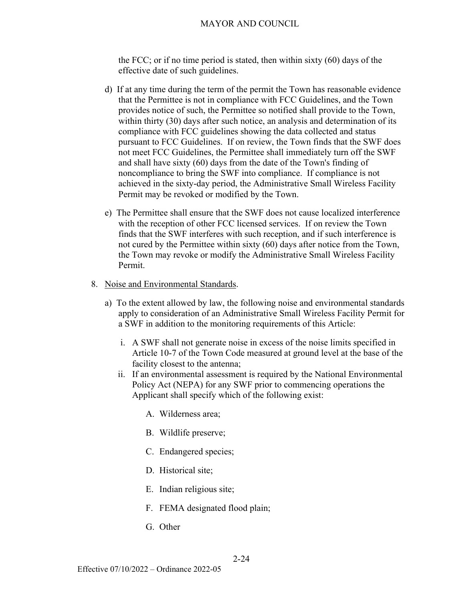the FCC; or if no time period is stated, then within sixty (60) days of the effective date of such guidelines.

- d) If at any time during the term of the permit the Town has reasonable evidence that the Permittee is not in compliance with FCC Guidelines, and the Town provides notice of such, the Permittee so notified shall provide to the Town, within thirty (30) days after such notice, an analysis and determination of its compliance with FCC guidelines showing the data collected and status pursuant to FCC Guidelines. If on review, the Town finds that the SWF does not meet FCC Guidelines, the Permittee shall immediately turn off the SWF and shall have sixty (60) days from the date of the Town's finding of noncompliance to bring the SWF into compliance. If compliance is not achieved in the sixty-day period, the Administrative Small Wireless Facility Permit may be revoked or modified by the Town.
- e) The Permittee shall ensure that the SWF does not cause localized interference with the reception of other FCC licensed services. If on review the Town finds that the SWF interferes with such reception, and if such interference is not cured by the Permittee within sixty (60) days after notice from the Town, the Town may revoke or modify the Administrative Small Wireless Facility Permit.
- 8. Noise and Environmental Standards.
	- a) To the extent allowed by law, the following noise and environmental standards apply to consideration of an Administrative Small Wireless Facility Permit for a SWF in addition to the monitoring requirements of this Article:
		- i. A SWF shall not generate noise in excess of the noise limits specified in Article 10-7 of the Town Code measured at ground level at the base of the facility closest to the antenna;
		- ii. If an environmental assessment is required by the National Environmental Policy Act (NEPA) for any SWF prior to commencing operations the Applicant shall specify which of the following exist:
			- A. Wilderness area;
			- B. Wildlife preserve;
			- C. Endangered species;
			- D. Historical site;
			- E. Indian religious site;
			- F. FEMA designated flood plain;
			- G. Other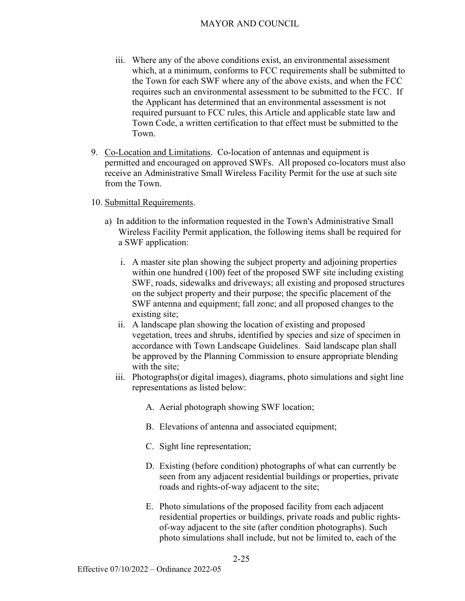- iii. Where any of the above conditions exist, an environmental assessment which, at a minimum, conforms to FCC requirements shall be submitted to the Town for each SWF where any of the above exists, and when the FCC requires such an environmental assessment to be submitted to the FCC. If the Applicant has determined that an environmental assessment is not required pursuant to FCC rules, this Article and applicable state law and Town Code, a written certification to that effect must be submitted to the Town.
- 9. Co-Location and Limitations. Co-location of antennas and equipment is permitted and encouraged on approved SWFs. All proposed co-locators must also receive an Administrative Small Wireless Facility Permit for the use at such site from the Town.

#### 10. Submittal Requirements.

- a) In addition to the information requested in the Town's Administrative Small Wireless Facility Permit application, the following items shall be required for a SWF application:
	- i. A master site plan showing the subject property and adjoining properties within one hundred (100) feet of the proposed SWF site including existing SWF, roads, sidewalks and driveways; all existing and proposed structures on the subject property and their purpose; the specific placement of the SWF antenna and equipment; fall zone; and all proposed changes to the existing site;
	- ii. A landscape plan showing the location of existing and proposed vegetation, trees and shrubs, identified by species and size of specimen in accordance with Town Landscape Guidelines. Said landscape plan shall be approved by the Planning Commission to ensure appropriate blending with the site;
	- iii. Photographs(or digital images), diagrams, photo simulations and sight line representations as listed below:
		- A. Aerial photograph showing SWF location;
		- B. Elevations of antenna and associated equipment;
		- C. Sight line representation;
		- D. Existing (before condition) photographs of what can currently be seen from any adjacent residential buildings or properties, private roads and rights-of-way adjacent to the site;
		- E. Photo simulations of the proposed facility from each adjacent residential properties or buildings, private roads and public rightsof-way adjacent to the site (after condition photographs). Such photo simulations shall include, but not be limited to, each of the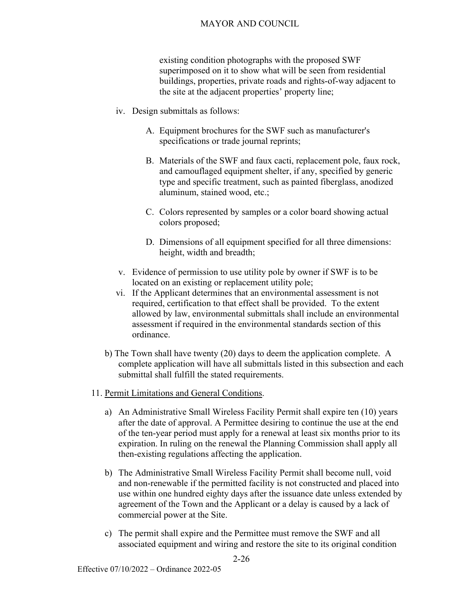existing condition photographs with the proposed SWF superimposed on it to show what will be seen from residential buildings, properties, private roads and rights-of-way adjacent to the site at the adjacent properties' property line;

- iv. Design submittals as follows:
	- A. Equipment brochures for the SWF such as manufacturer's specifications or trade journal reprints;
	- B. Materials of the SWF and faux cacti, replacement pole, faux rock, and camouflaged equipment shelter, if any, specified by generic type and specific treatment, such as painted fiberglass, anodized aluminum, stained wood, etc.;
	- C. Colors represented by samples or a color board showing actual colors proposed;
	- D. Dimensions of all equipment specified for all three dimensions: height, width and breadth;
- v. Evidence of permission to use utility pole by owner if SWF is to be located on an existing or replacement utility pole;
- vi. If the Applicant determines that an environmental assessment is not required, certification to that effect shall be provided.To the extent allowed by law, environmental submittals shall include an environmental assessment if required in the environmental standards section of this ordinance.
- b) The Town shall have twenty (20) days to deem the application complete. A complete application will have all submittals listed in this subsection and each submittal shall fulfill the stated requirements.
- 11. Permit Limitations and General Conditions.
	- a) An Administrative Small Wireless Facility Permit shall expire ten (10) years after the date of approval. A Permittee desiring to continue the use at the end of the ten-year period must apply for a renewal at least six months prior to its expiration. In ruling on the renewal the Planning Commission shall apply all then-existing regulations affecting the application.
	- b) The Administrative Small Wireless Facility Permit shall become null, void and non-renewable if the permitted facility is not constructed and placed into use within one hundred eighty days after the issuance date unless extended by agreement of the Town and the Applicant or a delay is caused by a lack of commercial power at the Site.
	- c) The permit shall expire and the Permittee must remove the SWF and all associated equipment and wiring and restore the site to its original condition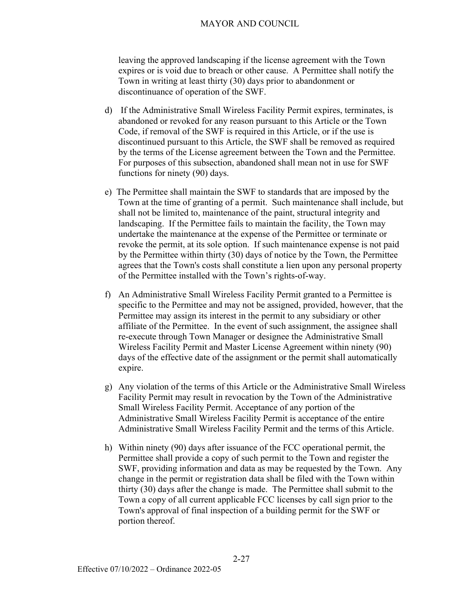leaving the approved landscaping if the license agreement with the Town expires or is void due to breach or other cause. A Permittee shall notify the Town in writing at least thirty (30) days prior to abandonment or discontinuance of operation of the SWF.

- d) If the Administrative Small Wireless Facility Permit expires, terminates, is abandoned or revoked for any reason pursuant to this Article or the Town Code, if removal of the SWF is required in this Article, or if the use is discontinued pursuant to this Article, the SWF shall be removed as required by the terms of the License agreement between the Town and the Permittee. For purposes of this subsection, abandoned shall mean not in use for SWF functions for ninety (90) days.
- e) The Permittee shall maintain the SWF to standards that are imposed by the Town at the time of granting of a permit. Such maintenance shall include, but shall not be limited to, maintenance of the paint, structural integrity and landscaping. If the Permittee fails to maintain the facility, the Town may undertake the maintenance at the expense of the Permittee or terminate or revoke the permit, at its sole option. If such maintenance expense is not paid by the Permittee within thirty (30) days of notice by the Town, the Permittee agrees that the Town's costs shall constitute a lien upon any personal property of the Permittee installed with the Town's rights-of-way.
- f) An Administrative Small Wireless Facility Permit granted to a Permittee is specific to the Permittee and may not be assigned, provided, however, that the Permittee may assign its interest in the permit to any subsidiary or other affiliate of the Permittee. In the event of such assignment, the assignee shall re-execute through Town Manager or designee the Administrative Small Wireless Facility Permit and Master License Agreement within ninety (90) days of the effective date of the assignment or the permit shall automatically expire.
- g) Any violation of the terms of this Article or the Administrative Small Wireless Facility Permit may result in revocation by the Town of the Administrative Small Wireless Facility Permit. Acceptance of any portion of the Administrative Small Wireless Facility Permit is acceptance of the entire Administrative Small Wireless Facility Permit and the terms of this Article.
- h) Within ninety (90) days after issuance of the FCC operational permit, the Permittee shall provide a copy of such permit to the Town and register the SWF, providing information and data as may be requested by the Town. Any change in the permit or registration data shall be filed with the Town within thirty (30) days after the change is made. The Permittee shall submit to the Town a copy of all current applicable FCC licenses by call sign prior to the Town's approval of final inspection of a building permit for the SWF or portion thereof.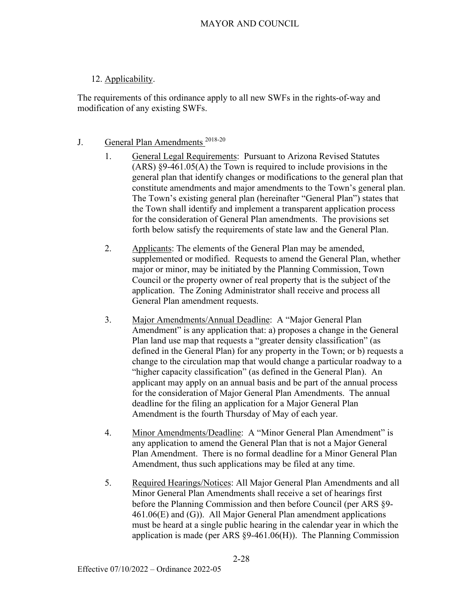# 12. Applicability.

The requirements of this ordinance apply to all new SWFs in the rights-of-way and modification of any existing SWFs.

# J. General Plan Amendments<sup>2018-20</sup>

- 1. General Legal Requirements: Pursuant to Arizona Revised Statutes (ARS) §9-461.05(A) the Town is required to include provisions in the general plan that identify changes or modifications to the general plan that constitute amendments and major amendments to the Town's general plan. The Town's existing general plan (hereinafter "General Plan") states that the Town shall identify and implement a transparent application process for the consideration of General Plan amendments. The provisions set forth below satisfy the requirements of state law and the General Plan.
- 2. Applicants: The elements of the General Plan may be amended, supplemented or modified. Requests to amend the General Plan, whether major or minor, may be initiated by the Planning Commission, Town Council or the property owner of real property that is the subject of the application. The Zoning Administrator shall receive and process all General Plan amendment requests.
- 3. Major Amendments/Annual Deadline: A "Major General Plan Amendment" is any application that: a) proposes a change in the General Plan land use map that requests a "greater density classification" (as defined in the General Plan) for any property in the Town; or b) requests a change to the circulation map that would change a particular roadway to a "higher capacity classification" (as defined in the General Plan). An applicant may apply on an annual basis and be part of the annual process for the consideration of Major General Plan Amendments. The annual deadline for the filing an application for a Major General Plan Amendment is the fourth Thursday of May of each year.
- 4. Minor Amendments/Deadline: A "Minor General Plan Amendment" is any application to amend the General Plan that is not a Major General Plan Amendment. There is no formal deadline for a Minor General Plan Amendment, thus such applications may be filed at any time.
- 5. Required Hearings/Notices: All Major General Plan Amendments and all Minor General Plan Amendments shall receive a set of hearings first before the Planning Commission and then before Council (per ARS §9- 461.06(E) and (G)). All Major General Plan amendment applications must be heard at a single public hearing in the calendar year in which the application is made (per ARS §9-461.06(H)). The Planning Commission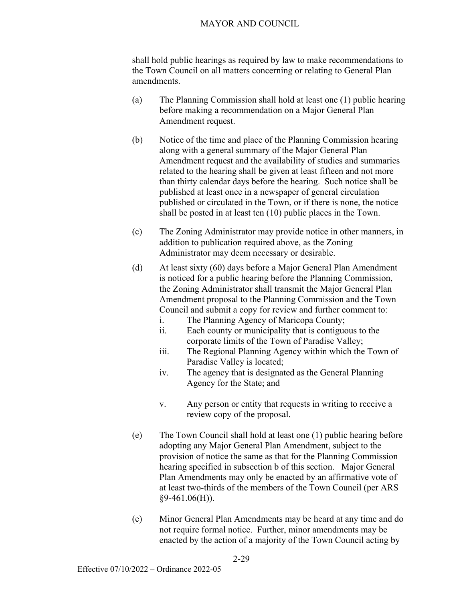shall hold public hearings as required by law to make recommendations to the Town Council on all matters concerning or relating to General Plan amendments.

- (a) The Planning Commission shall hold at least one (1) public hearing before making a recommendation on a Major General Plan Amendment request.
- (b) Notice of the time and place of the Planning Commission hearing along with a general summary of the Major General Plan Amendment request and the availability of studies and summaries related to the hearing shall be given at least fifteen and not more than thirty calendar days before the hearing. Such notice shall be published at least once in a newspaper of general circulation published or circulated in the Town, or if there is none, the notice shall be posted in at least ten (10) public places in the Town.
- (c) The Zoning Administrator may provide notice in other manners, in addition to publication required above, as the Zoning Administrator may deem necessary or desirable.
- (d) At least sixty (60) days before a Major General Plan Amendment is noticed for a public hearing before the Planning Commission, the Zoning Administrator shall transmit the Major General Plan Amendment proposal to the Planning Commission and the Town Council and submit a copy for review and further comment to:
	- i. The Planning Agency of Maricopa County;
	- ii. Each county or municipality that is contiguous to the corporate limits of the Town of Paradise Valley;
	- iii. The Regional Planning Agency within which the Town of Paradise Valley is located;
	- iv. The agency that is designated as the General Planning Agency for the State; and
	- v. Any person or entity that requests in writing to receive a review copy of the proposal.
- (e) The Town Council shall hold at least one (1) public hearing before adopting any Major General Plan Amendment, subject to the provision of notice the same as that for the Planning Commission hearing specified in subsection b of this section. Major General Plan Amendments may only be enacted by an affirmative vote of at least two-thirds of the members of the Town Council (per ARS §9-461.06(H)).
- (e) Minor General Plan Amendments may be heard at any time and do not require formal notice. Further, minor amendments may be enacted by the action of a majority of the Town Council acting by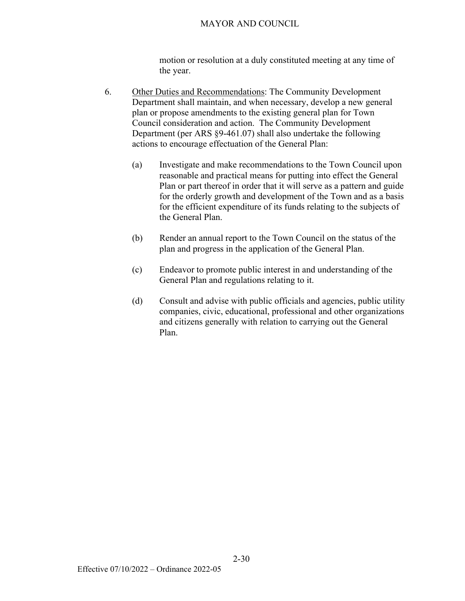motion or resolution at a duly constituted meeting at any time of the year.

- 6. Other Duties and Recommendations: The Community Development Department shall maintain, and when necessary, develop a new general plan or propose amendments to the existing general plan for Town Council consideration and action. The Community Development Department (per ARS §9-461.07) shall also undertake the following actions to encourage effectuation of the General Plan:
	- (a) Investigate and make recommendations to the Town Council upon reasonable and practical means for putting into effect the General Plan or part thereof in order that it will serve as a pattern and guide for the orderly growth and development of the Town and as a basis for the efficient expenditure of its funds relating to the subjects of the General Plan.
	- (b) Render an annual report to the Town Council on the status of the plan and progress in the application of the General Plan.
	- (c) Endeavor to promote public interest in and understanding of the General Plan and regulations relating to it.
	- (d) Consult and advise with public officials and agencies, public utility companies, civic, educational, professional and other organizations and citizens generally with relation to carrying out the General Plan.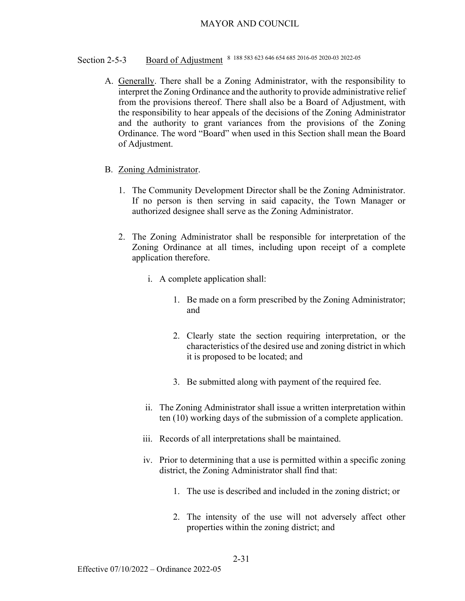# Section 2-5-3 <u>Board of Adjustment</u> 8 188 583 623 646 654 685 2016-05 2020-03 2022-05

- A. Generally. There shall be a Zoning Administrator, with the responsibility to interpret the Zoning Ordinance and the authority to provide administrative relief from the provisions thereof. There shall also be a Board of Adjustment, with the responsibility to hear appeals of the decisions of the Zoning Administrator and the authority to grant variances from the provisions of the Zoning Ordinance. The word "Board" when used in this Section shall mean the Board of Adjustment.
- B. Zoning Administrator.
	- 1. The Community Development Director shall be the Zoning Administrator. If no person is then serving in said capacity, the Town Manager or authorized designee shall serve as the Zoning Administrator.
	- 2. The Zoning Administrator shall be responsible for interpretation of the Zoning Ordinance at all times, including upon receipt of a complete application therefore.
		- i. A complete application shall:
			- 1. Be made on a form prescribed by the Zoning Administrator; and
			- 2. Clearly state the section requiring interpretation, or the characteristics of the desired use and zoning district in which it is proposed to be located; and
			- 3. Be submitted along with payment of the required fee.
		- ii. The Zoning Administrator shall issue a written interpretation within ten (10) working days of the submission of a complete application.
		- iii. Records of all interpretations shall be maintained.
		- iv. Prior to determining that a use is permitted within a specific zoning district, the Zoning Administrator shall find that:
			- 1. The use is described and included in the zoning district; or
			- 2. The intensity of the use will not adversely affect other properties within the zoning district; and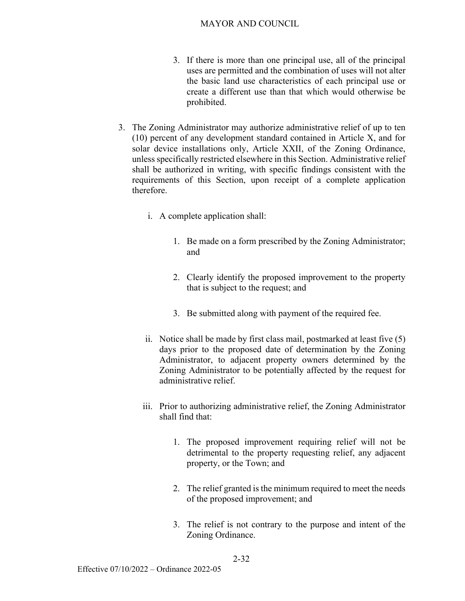- 3. If there is more than one principal use, all of the principal uses are permitted and the combination of uses will not alter the basic land use characteristics of each principal use or create a different use than that which would otherwise be prohibited.
- 3. The Zoning Administrator may authorize administrative relief of up to ten (10) percent of any development standard contained in Article X, and for solar device installations only, Article XXII, of the Zoning Ordinance, unless specifically restricted elsewhere in this Section. Administrative relief shall be authorized in writing, with specific findings consistent with the requirements of this Section, upon receipt of a complete application therefore.
	- i. A complete application shall:
		- 1. Be made on a form prescribed by the Zoning Administrator; and
		- 2. Clearly identify the proposed improvement to the property that is subject to the request; and
		- 3. Be submitted along with payment of the required fee.
	- ii. Notice shall be made by first class mail, postmarked at least five (5) days prior to the proposed date of determination by the Zoning Administrator, to adjacent property owners determined by the Zoning Administrator to be potentially affected by the request for administrative relief.
	- iii. Prior to authorizing administrative relief, the Zoning Administrator shall find that:
		- 1. The proposed improvement requiring relief will not be detrimental to the property requesting relief, any adjacent property, or the Town; and
		- 2. The relief granted is the minimum required to meet the needs of the proposed improvement; and
		- 3. The relief is not contrary to the purpose and intent of the Zoning Ordinance.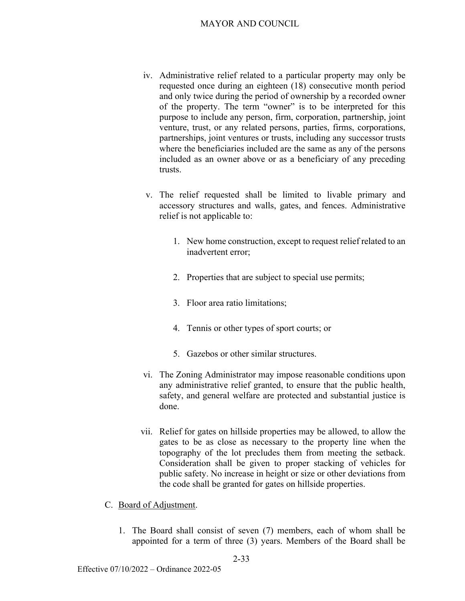- iv. Administrative relief related to a particular property may only be requested once during an eighteen (18) consecutive month period and only twice during the period of ownership by a recorded owner of the property. The term "owner" is to be interpreted for this purpose to include any person, firm, corporation, partnership, joint venture, trust, or any related persons, parties, firms, corporations, partnerships, joint ventures or trusts, including any successor trusts where the beneficiaries included are the same as any of the persons included as an owner above or as a beneficiary of any preceding trusts.
- v. The relief requested shall be limited to livable primary and accessory structures and walls, gates, and fences. Administrative relief is not applicable to:
	- 1. New home construction, except to request relief related to an inadvertent error;
	- 2. Properties that are subject to special use permits;
	- 3. Floor area ratio limitations;
	- 4. Tennis or other types of sport courts; or
	- 5. Gazebos or other similar structures.
- vi. The Zoning Administrator may impose reasonable conditions upon any administrative relief granted, to ensure that the public health, safety, and general welfare are protected and substantial justice is done.
- vii. Relief for gates on hillside properties may be allowed, to allow the gates to be as close as necessary to the property line when the topography of the lot precludes them from meeting the setback. Consideration shall be given to proper stacking of vehicles for public safety. No increase in height or size or other deviations from the code shall be granted for gates on hillside properties.
- C. Board of Adjustment.
	- 1. The Board shall consist of seven (7) members, each of whom shall be appointed for a term of three (3) years. Members of the Board shall be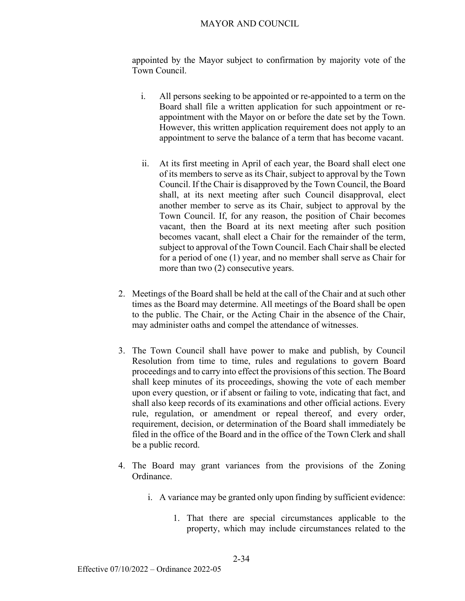appointed by the Mayor subject to confirmation by majority vote of the Town Council.

- i. All persons seeking to be appointed or re-appointed to a term on the Board shall file a written application for such appointment or reappointment with the Mayor on or before the date set by the Town. However, this written application requirement does not apply to an appointment to serve the balance of a term that has become vacant.
- ii. At its first meeting in April of each year, the Board shall elect one of its members to serve as its Chair, subject to approval by the Town Council. If the Chair is disapproved by the Town Council, the Board shall, at its next meeting after such Council disapproval, elect another member to serve as its Chair, subject to approval by the Town Council. If, for any reason, the position of Chair becomes vacant, then the Board at its next meeting after such position becomes vacant, shall elect a Chair for the remainder of the term, subject to approval of the Town Council. Each Chair shall be elected for a period of one (1) year, and no member shall serve as Chair for more than two (2) consecutive years.
- 2. Meetings of the Board shall be held at the call of the Chair and at such other times as the Board may determine. All meetings of the Board shall be open to the public. The Chair, or the Acting Chair in the absence of the Chair, may administer oaths and compel the attendance of witnesses.
- 3. The Town Council shall have power to make and publish, by Council Resolution from time to time, rules and regulations to govern Board proceedings and to carry into effect the provisions of this section. The Board shall keep minutes of its proceedings, showing the vote of each member upon every question, or if absent or failing to vote, indicating that fact, and shall also keep records of its examinations and other official actions. Every rule, regulation, or amendment or repeal thereof, and every order, requirement, decision, or determination of the Board shall immediately be filed in the office of the Board and in the office of the Town Clerk and shall be a public record.
- 4. The Board may grant variances from the provisions of the Zoning Ordinance.
	- i. A variance may be granted only upon finding by sufficient evidence:
		- 1. That there are special circumstances applicable to the property, which may include circumstances related to the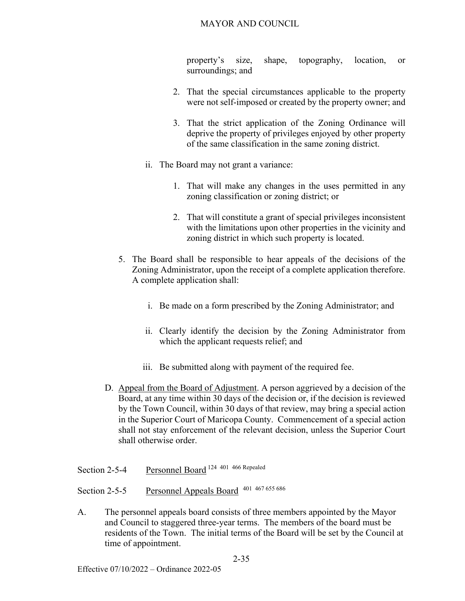property's size, shape, topography, location, or surroundings; and

- 2. That the special circumstances applicable to the property were not self-imposed or created by the property owner; and
- 3. That the strict application of the Zoning Ordinance will deprive the property of privileges enjoyed by other property of the same classification in the same zoning district.
- ii. The Board may not grant a variance:
	- 1. That will make any changes in the uses permitted in any zoning classification or zoning district; or
	- 2. That will constitute a grant of special privileges inconsistent with the limitations upon other properties in the vicinity and zoning district in which such property is located.
- 5. The Board shall be responsible to hear appeals of the decisions of the Zoning Administrator, upon the receipt of a complete application therefore. A complete application shall:
	- i. Be made on a form prescribed by the Zoning Administrator; and
	- ii. Clearly identify the decision by the Zoning Administrator from which the applicant requests relief; and
	- iii. Be submitted along with payment of the required fee.
- D. Appeal from the Board of Adjustment. A person aggrieved by a decision of the Board, at any time within 30 days of the decision or, if the decision is reviewed by the Town Council, within 30 days of that review, may bring a special action in the Superior Court of Maricopa County. Commencement of a special action shall not stay enforcement of the relevant decision, unless the Superior Court shall otherwise order.
- Section 2-5-4 Personnel Board 124 401 466 Repealed
- Section 2-5-5 Personnel Appeals Board 401 467 655 686
- A. The personnel appeals board consists of three members appointed by the Mayor and Council to staggered three-year terms. The members of the board must be residents of the Town. The initial terms of the Board will be set by the Council at time of appointment.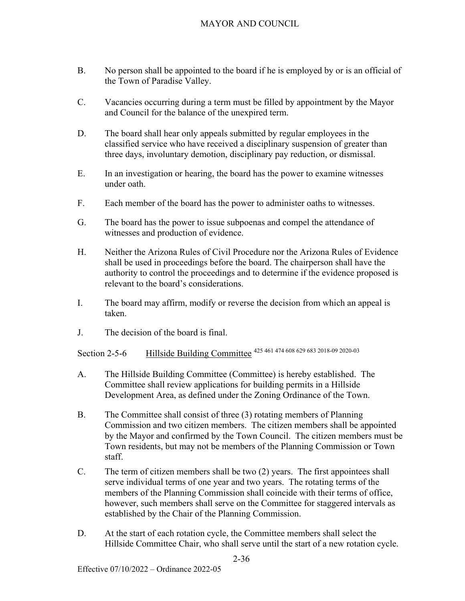- B. No person shall be appointed to the board if he is employed by or is an official of the Town of Paradise Valley.
- C. Vacancies occurring during a term must be filled by appointment by the Mayor and Council for the balance of the unexpired term.
- D. The board shall hear only appeals submitted by regular employees in the classified service who have received a disciplinary suspension of greater than three days, involuntary demotion, disciplinary pay reduction, or dismissal.
- E. In an investigation or hearing, the board has the power to examine witnesses under oath.
- F. Each member of the board has the power to administer oaths to witnesses.
- G. The board has the power to issue subpoenas and compel the attendance of witnesses and production of evidence.
- H. Neither the Arizona Rules of Civil Procedure nor the Arizona Rules of Evidence shall be used in proceedings before the board. The chairperson shall have the authority to control the proceedings and to determine if the evidence proposed is relevant to the board's considerations.
- I. The board may affirm, modify or reverse the decision from which an appeal is taken.
- J. The decision of the board is final.

Section 2-5-6 Hillside Building Committee 425 461 474 608 629 683 2018-09 2020-03

- A. The Hillside Building Committee (Committee) is hereby established. The Committee shall review applications for building permits in a Hillside Development Area, as defined under the Zoning Ordinance of the Town.
- B. The Committee shall consist of three (3) rotating members of Planning Commission and two citizen members. The citizen members shall be appointed by the Mayor and confirmed by the Town Council. The citizen members must be Town residents, but may not be members of the Planning Commission or Town staff.
- C. The term of citizen members shall be two (2) years. The first appointees shall serve individual terms of one year and two years. The rotating terms of the members of the Planning Commission shall coincide with their terms of office, however, such members shall serve on the Committee for staggered intervals as established by the Chair of the Planning Commission.
- D. At the start of each rotation cycle, the Committee members shall select the Hillside Committee Chair, who shall serve until the start of a new rotation cycle.

2-36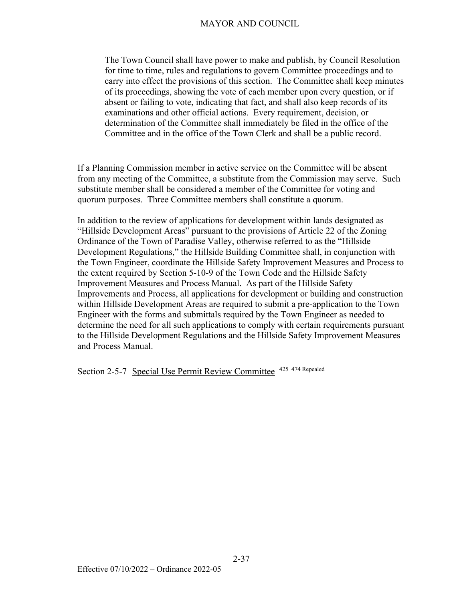The Town Council shall have power to make and publish, by Council Resolution for time to time, rules and regulations to govern Committee proceedings and to carry into effect the provisions of this section. The Committee shall keep minutes of its proceedings, showing the vote of each member upon every question, or if absent or failing to vote, indicating that fact, and shall also keep records of its examinations and other official actions. Every requirement, decision, or determination of the Committee shall immediately be filed in the office of the Committee and in the office of the Town Clerk and shall be a public record.

If a Planning Commission member in active service on the Committee will be absent from any meeting of the Committee, a substitute from the Commission may serve. Such substitute member shall be considered a member of the Committee for voting and quorum purposes. Three Committee members shall constitute a quorum.

In addition to the review of applications for development within lands designated as "Hillside Development Areas" pursuant to the provisions of Article 22 of the Zoning Ordinance of the Town of Paradise Valley, otherwise referred to as the "Hillside Development Regulations," the Hillside Building Committee shall, in conjunction with the Town Engineer, coordinate the Hillside Safety Improvement Measures and Process to the extent required by Section 5-10-9 of the Town Code and the Hillside Safety Improvement Measures and Process Manual. As part of the Hillside Safety Improvements and Process, all applications for development or building and construction within Hillside Development Areas are required to submit a pre-application to the Town Engineer with the forms and submittals required by the Town Engineer as needed to determine the need for all such applications to comply with certain requirements pursuant to the Hillside Development Regulations and the Hillside Safety Improvement Measures and Process Manual.

Section 2-5-7 Special Use Permit Review Committee 425 474 Repealed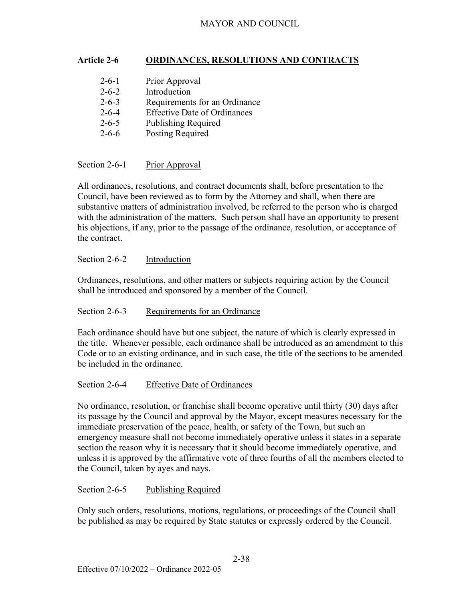#### **Article 2-6 ORDINANCES, RESOLUTIONS AND CONTRACTS**

| $2 - 6 - 1$ | Prior Approval                      |
|-------------|-------------------------------------|
| $2 - 6 - 2$ | Introduction                        |
| $2 - 6 - 3$ | Requirements for an Ordinance       |
| $2 - 6 - 4$ | <b>Effective Date of Ordinances</b> |
| $2 - 6 - 5$ | <b>Publishing Required</b>          |
| $2 - 6 - 6$ | Posting Required                    |

#### Section 2-6-1 Prior Approval

All ordinances, resolutions, and contract documents shall, before presentation to the Council, have been reviewed as to form by the Attorney and shall, when there are substantive matters of administration involved, be referred to the person who is charged with the administration of the matters. Such person shall have an opportunity to present his objections, if any, prior to the passage of the ordinance, resolution, or acceptance of the contract.

#### Section 2-6-2 Introduction

Ordinances, resolutions, and other matters or subjects requiring action by the Council shall be introduced and sponsored by a member of the Council.

#### Section 2-6-3 Requirements for an Ordinance

Each ordinance should have but one subject, the nature of which is clearly expressed in the title. Whenever possible, each ordinance shall be introduced as an amendment to this Code or to an existing ordinance, and in such case, the title of the sections to be amended be included in the ordinance.

#### Section 2-6-4 Effective Date of Ordinances

No ordinance, resolution, or franchise shall become operative until thirty (30) days after its passage by the Council and approval by the Mayor, except measures necessary for the immediate preservation of the peace, health, or safety of the Town, but such an emergency measure shall not become immediately operative unless it states in a separate section the reason why it is necessary that it should become immediately operative, and unless it is approved by the affirmative vote of three fourths of all the members elected to the Council, taken by ayes and nays.

#### Section 2-6-5 Publishing Required

Only such orders, resolutions, motions, regulations, or proceedings of the Council shall be published as may be required by State statutes or expressly ordered by the Council.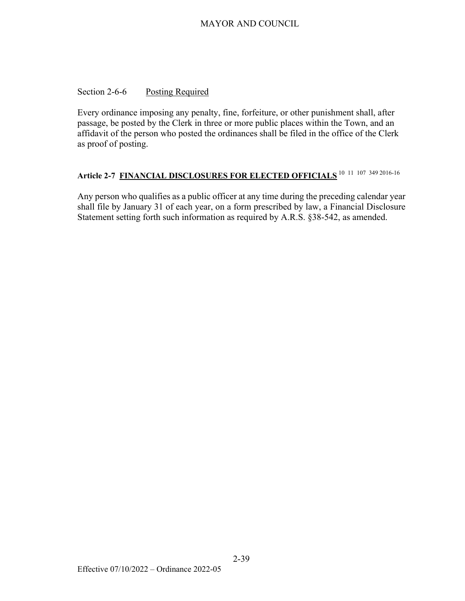#### Section 2-6-6 Posting Required

Every ordinance imposing any penalty, fine, forfeiture, or other punishment shall, after passage, be posted by the Clerk in three or more public places within the Town, and an affidavit of the person who posted the ordinances shall be filed in the office of the Clerk as proof of posting.

# **Article 2-7 FINANCIAL DISCLOSURES FOR ELECTED OFFICIALS** 10 11 107 349 2016-16

Any person who qualifies as a public officer at any time during the preceding calendar year shall file by January 31 of each year, on a form prescribed by law, a Financial Disclosure Statement setting forth such information as required by A.R.S. §38-542, as amended.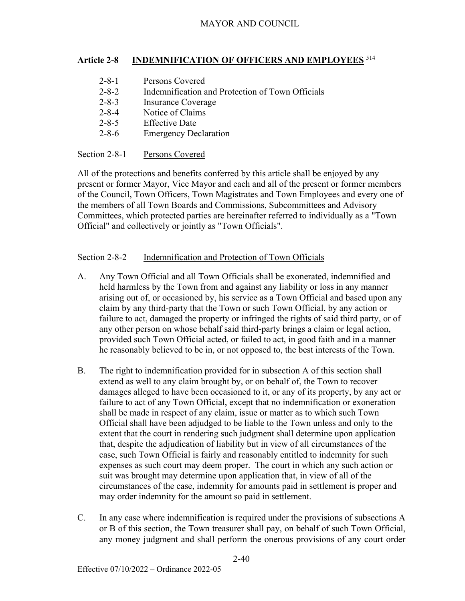#### **Article 2-8 INDEMNIFICATION OF OFFICERS AND EMPLOYEES** <sup>514</sup>

2-8-1 Persons Covered 2-8-2 Indemnification and Protection of Town Officials 2-8-3 Insurance Coverage 2-8-4 Notice of Claims 2-8-5 Effective Date 2-8-6 Emergency Declaration

#### Section 2-8-1 Persons Covered

All of the protections and benefits conferred by this article shall be enjoyed by any present or former Mayor, Vice Mayor and each and all of the present or former members of the Council, Town Officers, Town Magistrates and Town Employees and every one of the members of all Town Boards and Commissions, Subcommittees and Advisory Committees, which protected parties are hereinafter referred to individually as a "Town Official" and collectively or jointly as "Town Officials".

#### Section 2-8-2 Indemnification and Protection of Town Officials

- A. Any Town Official and all Town Officials shall be exonerated, indemnified and held harmless by the Town from and against any liability or loss in any manner arising out of, or occasioned by, his service as a Town Official and based upon any claim by any third-party that the Town or such Town Official, by any action or failure to act, damaged the property or infringed the rights of said third party, or of any other person on whose behalf said third-party brings a claim or legal action, provided such Town Official acted, or failed to act, in good faith and in a manner he reasonably believed to be in, or not opposed to, the best interests of the Town.
- B. The right to indemnification provided for in subsection A of this section shall extend as well to any claim brought by, or on behalf of, the Town to recover damages alleged to have been occasioned to it, or any of its property, by any act or failure to act of any Town Official, except that no indemnification or exoneration shall be made in respect of any claim, issue or matter as to which such Town Official shall have been adjudged to be liable to the Town unless and only to the extent that the court in rendering such judgment shall determine upon application that, despite the adjudication of liability but in view of all circumstances of the case, such Town Official is fairly and reasonably entitled to indemnity for such expenses as such court may deem proper. The court in which any such action or suit was brought may determine upon application that, in view of all of the circumstances of the case, indemnity for amounts paid in settlement is proper and may order indemnity for the amount so paid in settlement.
- C. In any case where indemnification is required under the provisions of subsections A or B of this section, the Town treasurer shall pay, on behalf of such Town Official, any money judgment and shall perform the onerous provisions of any court order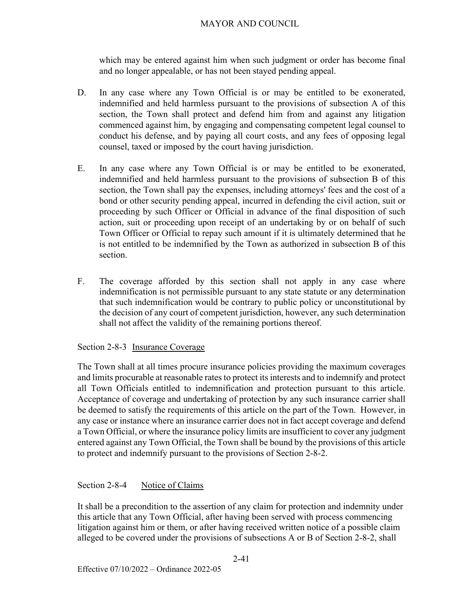which may be entered against him when such judgment or order has become final and no longer appealable, or has not been stayed pending appeal.

- D. In any case where any Town Official is or may be entitled to be exonerated, indemnified and held harmless pursuant to the provisions of subsection A of this section, the Town shall protect and defend him from and against any litigation commenced against him, by engaging and compensating competent legal counsel to conduct his defense, and by paying all court costs, and any fees of opposing legal counsel, taxed or imposed by the court having jurisdiction.
- E. In any case where any Town Official is or may be entitled to be exonerated, indemnified and held harmless pursuant to the provisions of subsection B of this section, the Town shall pay the expenses, including attorneys' fees and the cost of a bond or other security pending appeal, incurred in defending the civil action, suit or proceeding by such Officer or Official in advance of the final disposition of such action, suit or proceeding upon receipt of an undertaking by or on behalf of such Town Officer or Official to repay such amount if it is ultimately determined that he is not entitled to be indemnified by the Town as authorized in subsection B of this section.
- F. The coverage afforded by this section shall not apply in any case where indemnification is not permissible pursuant to any state statute or any determination that such indemnification would be contrary to public policy or unconstitutional by the decision of any court of competent jurisdiction, however, any such determination shall not affect the validity of the remaining portions thereof.

#### Section 2-8-3 Insurance Coverage

The Town shall at all times procure insurance policies providing the maximum coverages and limits procurable at reasonable rates to protect its interests and to indemnify and protect all Town Officials entitled to indemnification and protection pursuant to this article. Acceptance of coverage and undertaking of protection by any such insurance carrier shall be deemed to satisfy the requirements of this article on the part of the Town. However, in any case or instance where an insurance carrier does not in fact accept coverage and defend a Town Official, or where the insurance policy limits are insufficient to cover any judgment entered against any Town Official, the Town shall be bound by the provisions of this article to protect and indemnify pursuant to the provisions of Section 2-8-2.

#### Section 2-8-4Notice of Claims

It shall be a precondition to the assertion of any claim for protection and indemnity under this article that any Town Official, after having been served with process commencing litigation against him or them, or after having received written notice of a possible claim alleged to be covered under the provisions of subsections A or B of Section 2-8-2, shall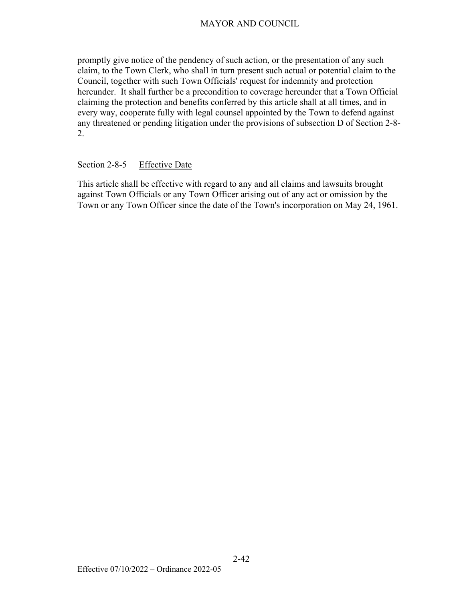promptly give notice of the pendency of such action, or the presentation of any such claim, to the Town Clerk, who shall in turn present such actual or potential claim to the Council, together with such Town Officials' request for indemnity and protection hereunder. It shall further be a precondition to coverage hereunder that a Town Official claiming the protection and benefits conferred by this article shall at all times, and in every way, cooperate fully with legal counsel appointed by the Town to defend against any threatened or pending litigation under the provisions of subsection D of Section 2-8- 2.

#### Section 2-8-5Effective Date

This article shall be effective with regard to any and all claims and lawsuits brought against Town Officials or any Town Officer arising out of any act or omission by the Town or any Town Officer since the date of the Town's incorporation on May 24, 1961.